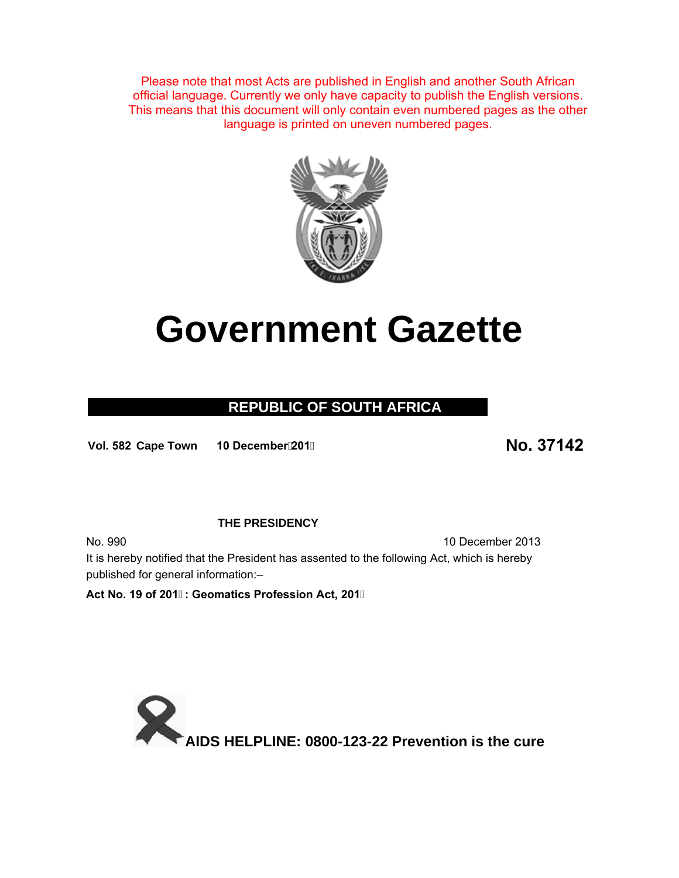Please note that most Acts are published in English and another South African official language. Currently we only have capacity to publish the English versions. This means that this document will only contain even numbered pages as the other language is printed on uneven numbered pages.



# **Government Gazette**

# **REPUBLIC OF SOUTH AFRICA**

**Vol. 5 <sup>82</sup> Cape Town 10 December201 No. 37142**

#### **THE PRESIDENCY**

No. 990 10 December 2013 It is hereby notified that the President has assented to the following Act, which is hereby published for general information:–

**Act No. 19 of 201: Geomatics Profession Act, 201**

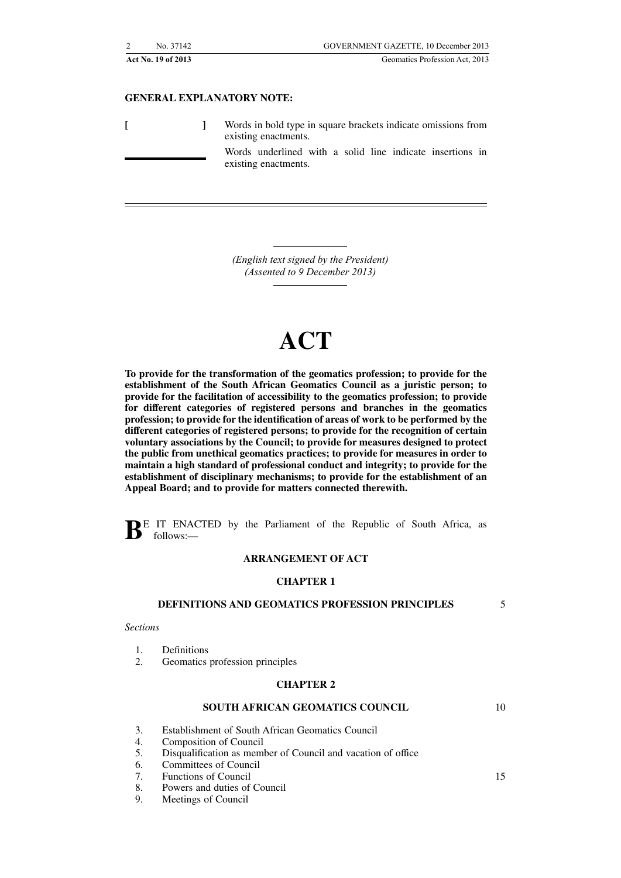|                    | No. 37142 | GOVERNMENT GAZETTE, 10 December 2013                                                  |
|--------------------|-----------|---------------------------------------------------------------------------------------|
| Act No. 19 of 2013 |           | Geomatics Profession Act, 2013                                                        |
|                    |           | <b>GENERAL EXPLANATORY NOTE:</b>                                                      |
|                    |           | Words in bold type in square brackets indicate omissions from<br>existing enactments. |

Words underlined with a solid line indicate insertions in existing enactments.

*(English text signed by the President) (Assented to 9 December 2013)*

# **ACT**

**To provide for the transformation of the geomatics profession; to provide for the establishment of the South African Geomatics Council as a juristic person; to provide for the facilitation of accessibility to the geomatics profession; to provide for different categories of registered persons and branches in the geomatics profession; to provide for the identification of areas of work to be performed by the different categories of registered persons; to provide for the recognition of certain voluntary associations by the Council; to provide for measures designed to protect the public from unethical geomatics practices; to provide for measures in order to maintain a high standard of professional conduct and integrity; to provide for the establishment of disciplinary mechanisms; to provide for the establishment of an Appeal Board; and to provide for matters connected therewith.**

**B**E IT ENACTED by the Parliament of the Republic of South Africa, as follows:—

#### **ARRANGEMENT OF ACT**

#### **CHAPTER 1**

#### **DEFINITIONS AND GEOMATICS PROFESSION PRINCIPLES**

5

#### *Sections*

- 1. Definitions
- 2. Geomatics profession principles

#### **CHAPTER 2**

#### **SOUTH AFRICAN GEOMATICS COUNCIL**

10

- 3. Establishment of South African Geomatics Council
- 4. Composition of Council<br>5. Disqualification as members
- 5. Disqualification as member of Council and vacation of office
- 6. Committees of Council
- 7. Functions of Council
- 8. Powers and duties of Council
- 9. Meetings of Council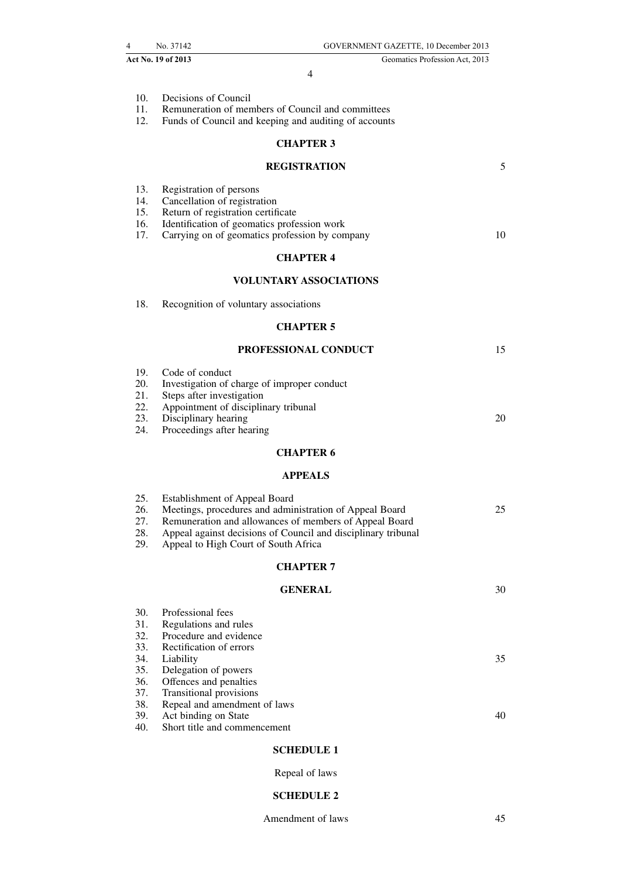|                                        | Act No. 19 of 2013                                                                                                                                                                                                                                                 | Geomatics Profession Act, 2013 |
|----------------------------------------|--------------------------------------------------------------------------------------------------------------------------------------------------------------------------------------------------------------------------------------------------------------------|--------------------------------|
|                                        | 4                                                                                                                                                                                                                                                                  |                                |
| 10.<br>11.<br>12.                      | Decisions of Council<br>Remuneration of members of Council and committees<br>Funds of Council and keeping and auditing of accounts                                                                                                                                 |                                |
|                                        | <b>CHAPTER 3</b>                                                                                                                                                                                                                                                   |                                |
|                                        | <b>REGISTRATION</b>                                                                                                                                                                                                                                                | 5                              |
| 13.<br>14.<br>15.<br>16.<br>17.        | Registration of persons<br>Cancellation of registration<br>Return of registration certificate<br>Identification of geomatics profession work<br>Carrying on of geomatics profession by company                                                                     | 10                             |
|                                        | <b>CHAPTER 4</b>                                                                                                                                                                                                                                                   |                                |
|                                        | <b>VOLUNTARY ASSOCIATIONS</b>                                                                                                                                                                                                                                      |                                |
| 18.                                    | Recognition of voluntary associations                                                                                                                                                                                                                              |                                |
|                                        | <b>CHAPTER 5</b>                                                                                                                                                                                                                                                   |                                |
|                                        | PROFESSIONAL CONDUCT                                                                                                                                                                                                                                               | 15                             |
| 19.<br>20.<br>21.<br>22.<br>23.<br>24. | Code of conduct<br>Investigation of charge of improper conduct<br>Steps after investigation<br>Appointment of disciplinary tribunal<br>Disciplinary hearing<br>Proceedings after hearing                                                                           | 20                             |
|                                        | <b>CHAPTER 6</b>                                                                                                                                                                                                                                                   |                                |
|                                        | <b>APPEALS</b>                                                                                                                                                                                                                                                     |                                |
| 25.<br>26.<br>27.<br>28.<br>29.        | <b>Establishment of Appeal Board</b><br>Meetings, procedures and administration of Appeal Board<br>Remuneration and allowances of members of Appeal Board<br>Appeal against decisions of Council and disciplinary tribunal<br>Appeal to High Court of South Africa | 25                             |
|                                        | <b>CHAPTER 7</b>                                                                                                                                                                                                                                                   |                                |
|                                        | <b>GENERAL</b>                                                                                                                                                                                                                                                     | 30                             |
| 30.<br>31.<br>32.<br>33.               | Professional fees<br>Regulations and rules<br>Procedure and evidence<br>Rectification of errors                                                                                                                                                                    |                                |
| 34.<br>35.<br>36.<br>37.               | Liability<br>Delegation of powers<br>Offences and penalties<br>Transitional provisions                                                                                                                                                                             | 35                             |
| 38.<br>39.                             | Repeal and amendment of laws<br>Act binding on State                                                                                                                                                                                                               | 40                             |
| 40.                                    | Short title and commencement                                                                                                                                                                                                                                       |                                |
|                                        | <b>SCHEDULE 1</b>                                                                                                                                                                                                                                                  |                                |
|                                        | Repeal of laws                                                                                                                                                                                                                                                     |                                |

4 No. 37142 GOVERNMENT GAZETTE, 10 December 2013

# **SCHEDULE 2**

Amendment of laws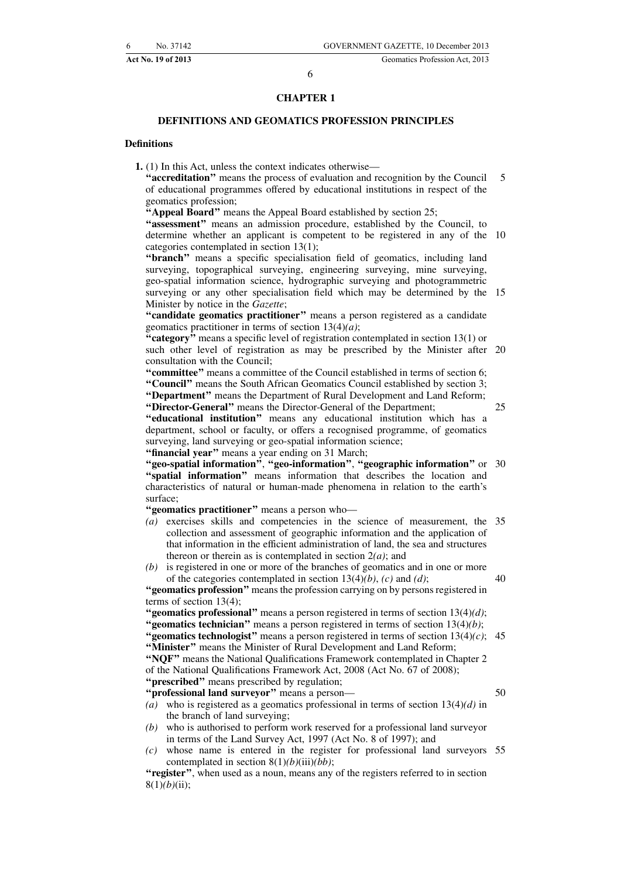#### **CHAPTER 1**

#### **DEFINITIONS AND GEOMATICS PROFESSION PRINCIPLES**

#### **Definitions**

**1.** (1) In this Act, unless the context indicates otherwise—

**''accreditation''** means the process of evaluation and recognition by the Council of educational programmes offered by educational institutions in respect of the geomatics profession; 5

**''Appeal Board''** means the Appeal Board established by section 25;

**''assessment''** means an admission procedure, established by the Council, to determine whether an applicant is competent to be registered in any of the 10 categories contemplated in section 13(1);

"branch" means a specific specialisation field of geomatics, including land surveying, topographical surveying, engineering surveying, mine surveying, geo-spatial information science, hydrographic surveying and photogrammetric surveying or any other specialisation field which may be determined by the 15 Minister by notice in the *Gazette*;

**''candidate geomatics practitioner''** means a person registered as a candidate geomatics practitioner in terms of section 13(4)*(a)*;

"category" means a specific level of registration contemplated in section 13(1) or such other level of registration as may be prescribed by the Minister after 20 consultation with the Council;

**''committee''** means a committee of the Council established in terms of section 6; **''Council''** means the South African Geomatics Council established by section 3; **''Department''** means the Department of Rural Development and Land Reform; **''Director-General''** means the Director-General of the Department;

25

**''educational institution''** means any educational institution which has a department, school or faculty, or offers a recognised programme, of geomatics surveying, land surveying or geo-spatial information science; "financial year" means a year ending on 31 March;

**''geo-spatial information''**, **''geo-information''**, **''geographic information''** or 30 **''spatial information''** means information that describes the location and characteristics of natural or human-made phenomena in relation to the earth's surface;

**''geomatics practitioner''** means a person who—

- *(a)* exercises skills and competencies in the science of measurement, the 35 collection and assessment of geographic information and the application of that information in the efficient administration of land, the sea and structures thereon or therein as is contemplated in section 2*(a)*; and
- *(b)* is registered in one or more of the branches of geomatics and in one or more of the categories contemplated in section 13(4)*(b)*, *(c)* and *(d)*;

40

50

**''geomatics profession''** means the profession carrying on by persons registered in terms of section 13(4);

**''geomatics professional''** means a person registered in terms of section 13(4)*(d)*; **''geomatics technician''** means a person registered in terms of section 13(4)*(b)*;

**''geomatics technologist''** means a person registered in terms of section 13(4)*(c)*; 45 **''Minister''** means the Minister of Rural Development and Land Reform;

**''NQF''** means the National Qualifications Framework contemplated in Chapter 2 of the National Qualifications Framework Act, 2008 (Act No. 67 of 2008);

**''prescribed''** means prescribed by regulation;

**''professional land surveyor''** means a person—

*(a)* who is registered as a geomatics professional in terms of section 13(4)*(d)* in the branch of land surveying;

- *(b)* who is authorised to perform work reserved for a professional land surveyor in terms of the Land Survey Act, 1997 (Act No. 8 of 1997); and
- *(c)* whose name is entered in the register for professional land surveyors 55contemplated in section 8(1)*(b)*(iii)*(bb)*;

"register", when used as a noun, means any of the registers referred to in section 8(1)*(b)*(ii);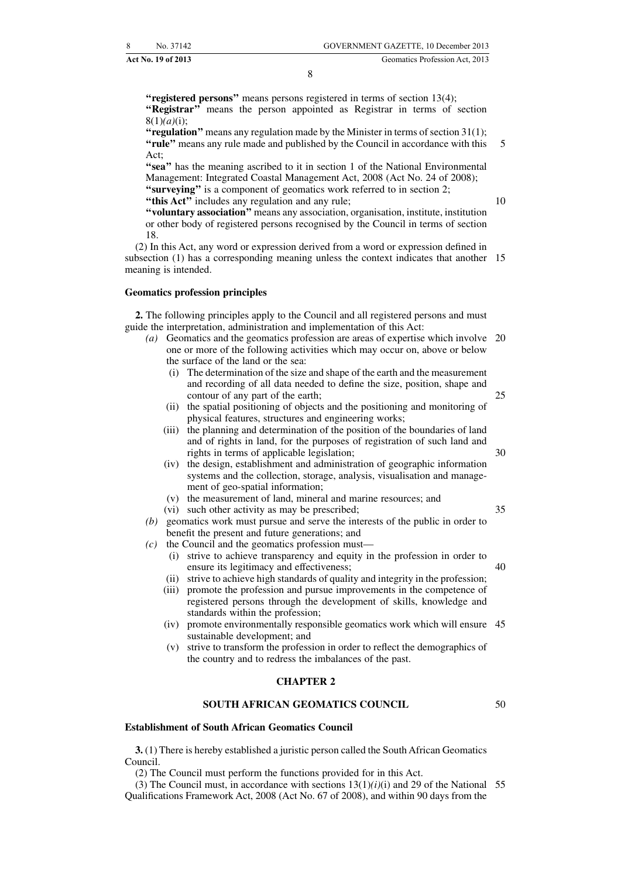"registered persons" means persons registered in terms of section 13(4); "Registrar" means the person appointed as Registrar in terms of section 8(1)*(a)*(i);

**''regulation''** means any regulation made by the Minister in terms of section 31(1); **''rule''** means any rule made and published by the Council in accordance with this Act; 5

**''sea''** has the meaning ascribed to it in section 1 of the National Environmental Management: Integrated Coastal Management Act, 2008 (Act No. 24 of 2008); **"surveying"** is a component of geomatics work referred to in section 2; "this Act" includes any regulation and any rule;

**''voluntary association''** means any association, organisation, institute, institution or other body of registered persons recognised by the Council in terms of section 18.

(2) In this Act, any word or expression derived from a word or expression defined in subsection (1) has a corresponding meaning unless the context indicates that another 15 meaning is intended.

#### **Geomatics profession principles**

**2.** The following principles apply to the Council and all registered persons and must guide the interpretation, administration and implementation of this Act:

- *(a)* Geomatics and the geomatics profession are areas of expertise which involve 20 one or more of the following activities which may occur on, above or below the surface of the land or the sea:
	- (i) The determination of the size and shape of the earth and the measurement and recording of all data needed to define the size, position, shape and contour of any part of the earth;
	- (ii) the spatial positioning of objects and the positioning and monitoring of physical features, structures and engineering works;
	- (iii) the planning and determination of the position of the boundaries of land and of rights in land, for the purposes of registration of such land and rights in terms of applicable legislation;
	- (iv) the design, establishment and administration of geographic information systems and the collection, storage, analysis, visualisation and management of geo-spatial information;
	- (v) the measurement of land, mineral and marine resources; and
	- (vi) such other activity as may be prescribed;
- *(b)* geomatics work must pursue and serve the interests of the public in order to benefit the present and future generations; and
- *(c)* the Council and the geomatics profession must—
	- (i) strive to achieve transparency and equity in the profession in order to ensure its legitimacy and effectiveness; 40
	- (ii) strive to achieve high standards of quality and integrity in the profession;
	- (iii) promote the profession and pursue improvements in the competence of registered persons through the development of skills, knowledge and standards within the profession;
	- (iv) promote environmentally responsible geomatics work which will ensure 45 sustainable development; and
	- (v) strive to transform the profession in order to reflect the demographics of the country and to redress the imbalances of the past.

#### **CHAPTER 2**

#### **SOUTH AFRICAN GEOMATICS COUNCIL**

50

#### **Establishment of South African Geomatics Council**

**3.** (1) There is hereby established a juristic person called the South African Geomatics Council.

(2) The Council must perform the functions provided for in this Act.

(3) The Council must, in accordance with sections  $13(1)(i)(i)$  and 29 of the National 55 Qualifications Framework Act, 2008 (Act No. 67 of 2008), and within 90 days from the

35

25

30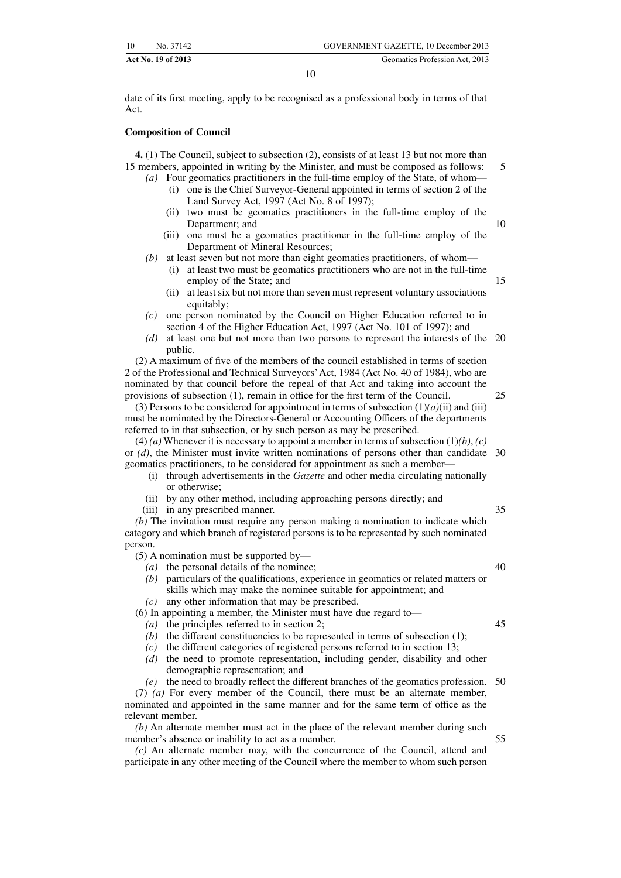date of its first meeting, apply to be recognised as a professional body in terms of that Act.

#### **Composition of Council**

**4.** (1) The Council, subject to subsection (2), consists of at least 13 but not more than 15 members, appointed in writing by the Minister, and must be composed as follows:

- *(a)* Four geomatics practitioners in the full-time employ of the State, of whom— (i) one is the Chief Surveyor-General appointed in terms of section 2 of the Land Survey Act, 1997 (Act No. 8 of 1997);
	- (ii) two must be geomatics practitioners in the full-time employ of the Department; and
	- (iii) one must be a geomatics practitioner in the full-time employ of the Department of Mineral Resources;
- *(b)* at least seven but not more than eight geomatics practitioners, of whom—
	- (i) at least two must be geomatics practitioners who are not in the full-time employ of the State; and
	- (ii) at least six but not more than seven must represent voluntary associations equitably;
- *(c)* one person nominated by the Council on Higher Education referred to in section 4 of the Higher Education Act, 1997 (Act No. 101 of 1997); and
- *(d)* at least one but not more than two persons to represent the interests of the 20 public.

(2) A maximum of five of the members of the council established in terms of section 2 of the Professional and Technical Surveyors'Act, 1984 (Act No. 40 of 1984), who are nominated by that council before the repeal of that Act and taking into account the provisions of subsection (1), remain in office for the first term of the Council.

(3) Persons to be considered for appointment in terms of subsection  $(1)(a)(ii)$  and (iii) must be nominated by the Directors-General or Accounting Officers of the departments referred to in that subsection, or by such person as may be prescribed.

 $(4)$  *(a)* Whenever it is necessary to appoint a member in terms of subsection  $(1)(b)$ , *(c)* or *(d)*, the Minister must invite written nominations of persons other than candidate 30 geomatics practitioners, to be considered for appointment as such a member—

- (i) through advertisements in the *Gazette* and other media circulating nationally or otherwise;
- (ii) by any other method, including approaching persons directly; and

(iii) in any prescribed manner.

*(b)* The invitation must require any person making a nomination to indicate which category and which branch of registered persons is to be represented by such nominated person.

(5) A nomination must be supported by—

- *(a)* the personal details of the nominee;
- *(b)* particulars of the qualifications, experience in geomatics or related matters or skills which may make the nominee suitable for appointment; and
- *(c)* any other information that may be prescribed.

(6) In appointing a member, the Minister must have due regard to—

- *(a)* the principles referred to in section 2;
- *(b)* the different constituencies to be represented in terms of subsection (1);
- *(c)* the different categories of registered persons referred to in section 13;
- *(d)* the need to promote representation, including gender, disability and other demographic representation; and

*(e)* the need to broadly reflect the different branches of the geomatics profession. 50

(7) *(a)* For every member of the Council, there must be an alternate member, nominated and appointed in the same manner and for the same term of office as the relevant member.

*(b)* An alternate member must act in the place of the relevant member during such member's absence or inability to act as a member.

*(c)* An alternate member may, with the concurrence of the Council, attend and participate in any other meeting of the Council where the member to whom such person

40

35

5

10

15

25

45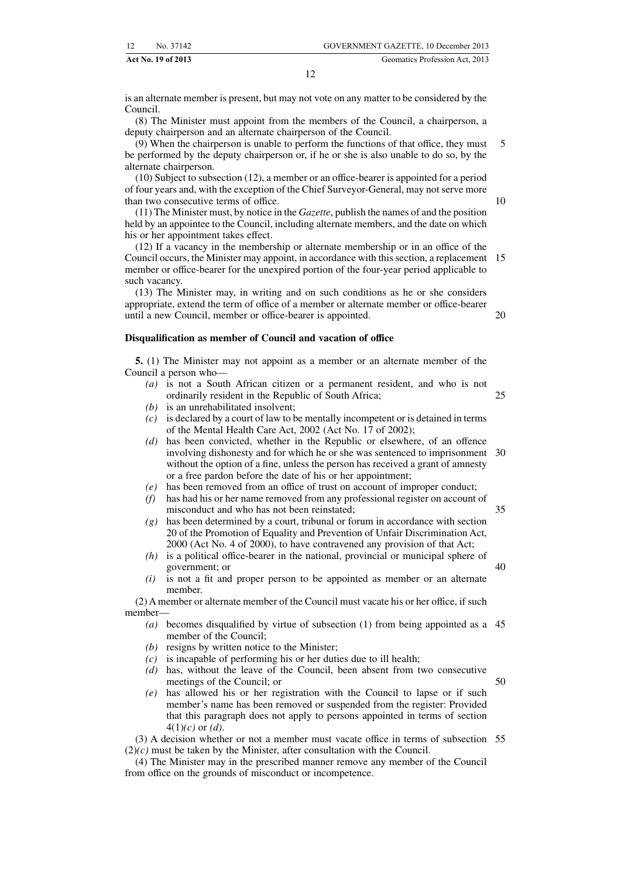is an alternate member is present, but may not vote on any matter to be considered by the Council.

(8) The Minister must appoint from the members of the Council, a chairperson, a deputy chairperson and an alternate chairperson of the Council.

(9) When the chairperson is unable to perform the functions of that office, they must be performed by the deputy chairperson or, if he or she is also unable to do so, by the alternate chairperson. 5

(10) Subject to subsection (12), a member or an office-bearer is appointed for a period of four years and, with the exception of the Chief Surveyor-General, may not serve more than two consecutive terms of office.

(11) The Minister must, by notice in the *Gazette*, publish the names of and the position held by an appointee to the Council, including alternate members, and the date on which his or her appointment takes effect.

(12) If a vacancy in the membership or alternate membership or in an office of the Council occurs, the Minister may appoint, in accordance with this section, a replacement 15 member or office-bearer for the unexpired portion of the four-year period applicable to such vacancy.

(13) The Minister may, in writing and on such conditions as he or she considers appropriate, extend the term of office of a member or alternate member or office-bearer until a new Council, member or office-bearer is appointed.

#### **Disqualification as member of Council and vacation of office**

**5.** (1) The Minister may not appoint as a member or an alternate member of the Council a person who—

- *(a)* is not a South African citizen or a permanent resident, and who is not ordinarily resident in the Republic of South Africa; 25
- *(b)* is an unrehabilitated insolvent;
- *(c)* is declared by a court of law to be mentally incompetent or is detained in terms of the Mental Health Care Act, 2002 (Act No. 17 of 2002);
- *(d)* has been convicted, whether in the Republic or elsewhere, of an offence involving dishonesty and for which he or she was sentenced to imprisonment 30 without the option of a fine, unless the person has received a grant of amnesty or a free pardon before the date of his or her appointment;
- *(e)* has been removed from an office of trust on account of improper conduct;
- *(f)* has had his or her name removed from any professional register on account of misconduct and who has not been reinstated; 35
- *(g)* has been determined by a court, tribunal or forum in accordance with section 20 of the Promotion of Equality and Prevention of Unfair Discrimination Act, 2000 (Act No. 4 of 2000), to have contravened any provision of that Act;
- *(h)* is a political office-bearer in the national, provincial or municipal sphere of government; or
- *(i)* is not a fit and proper person to be appointed as member or an alternate member.

(2) A member or alternate member of the Council must vacate his or her office, if such member—

- *(a)* becomes disqualified by virtue of subsection (1) from being appointed as a 45 member of the Council;
- *(b)* resigns by written notice to the Minister;
- *(c)* is incapable of performing his or her duties due to ill health;
- *(d)* has, without the leave of the Council, been absent from two consecutive meetings of the Council; or
- *(e)* has allowed his or her registration with the Council to lapse or if such member's name has been removed or suspended from the register: Provided that this paragraph does not apply to persons appointed in terms of section 4(1)*(c)* or *(d)*.

(3) A decision whether or not a member must vacate office in terms of subsection 55(2)*(c)* must be taken by the Minister, after consultation with the Council.

(4) The Minister may in the prescribed manner remove any member of the Council from office on the grounds of misconduct or incompetence.

10

20

40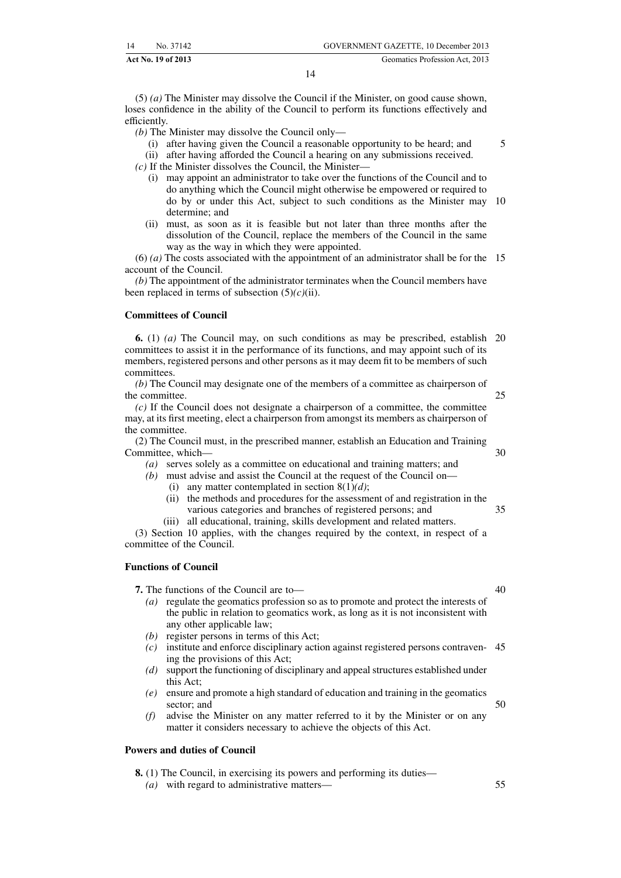(5) *(a)* The Minister may dissolve the Council if the Minister, on good cause shown, loses confidence in the ability of the Council to perform its functions effectively and efficiently.

*(b)* The Minister may dissolve the Council only—

(i) after having given the Council a reasonable opportunity to be heard; and

(ii) after having afforded the Council a hearing on any submissions received.

*(c)* If the Minister dissolves the Council, the Minister—

- (i) may appoint an administrator to take over the functions of the Council and to do anything which the Council might otherwise be empowered or required to do by or under this Act, subject to such conditions as the Minister may 10 determine; and
- (ii) must, as soon as it is feasible but not later than three months after the dissolution of the Council, replace the members of the Council in the same way as the way in which they were appointed.

(6) *(a)* The costs associated with the appointment of an administrator shall be for the 15 account of the Council.

*(b)* The appointment of the administrator terminates when the Council members have been replaced in terms of subsection (5)*(c)*(ii).

#### **Committees of Council**

**6.** (1) *(a)* The Council may, on such conditions as may be prescribed, establish 20 committees to assist it in the performance of its functions, and may appoint such of its members, registered persons and other persons as it may deem fit to be members of such committees.

*(b)* The Council may designate one of the members of a committee as chairperson of the committee.

25

5

*(c)* If the Council does not designate a chairperson of a committee, the committee may, at its first meeting, elect a chairperson from amongst its members as chairperson of the committee.

(2) The Council must, in the prescribed manner, establish an Education and Training Committee, which— 30

*(a)* serves solely as a committee on educational and training matters; and

- *(b)* must advise and assist the Council at the request of the Council on— (i) any matter contemplated in section  $8(1)(d)$ ;
	- (ii) the methods and procedures for the assessment of and registration in the various categories and branches of registered persons; and 35
	- (iii) all educational, training, skills development and related matters.

(3) Section 10 applies, with the changes required by the context, in respect of a committee of the Council.

#### **Functions of Council**

**7.** The functions of the Council are to—

- *(a)* regulate the geomatics profession so as to promote and protect the interests of the public in relation to geomatics work, as long as it is not inconsistent with any other applicable law;
- *(b)* register persons in terms of this Act;
- *(c)* institute and enforce disciplinary action against registered persons contraven-45 ing the provisions of this Act;
- *(d)* support the functioning of disciplinary and appeal structures established under this Act;
- *(e)* ensure and promote a high standard of education and training in the geomatics sector; and
- *(f)* advise the Minister on any matter referred to it by the Minister or on any matter it considers necessary to achieve the objects of this Act.

#### **Powers and duties of Council**

**8.** (1) The Council, in exercising its powers and performing its duties—

*(a)* with regard to administrative matters—

50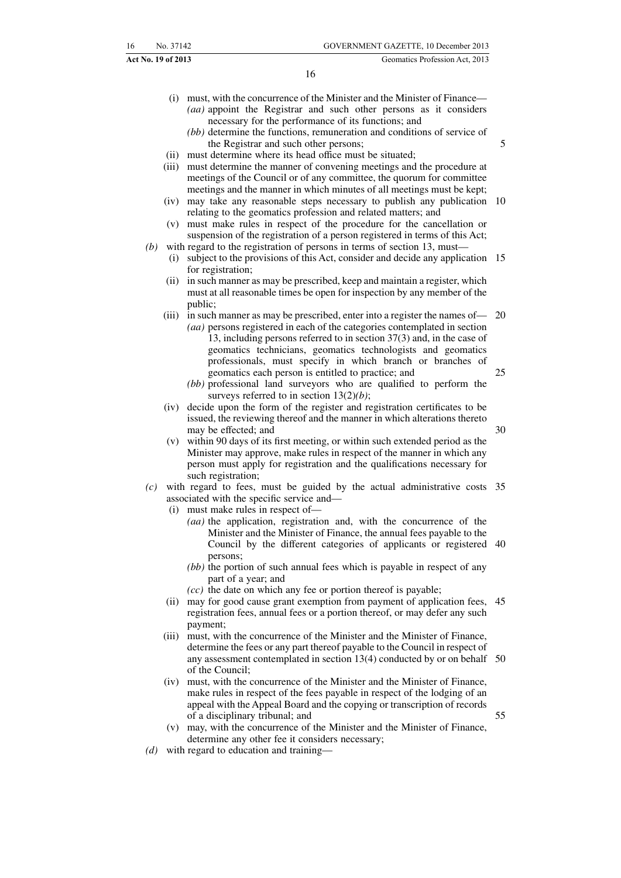- (i) must, with the concurrence of the Minister and the Minister of Finance— *(aa)* appoint the Registrar and such other persons as it considers necessary for the performance of its functions; and
	- *(bb)* determine the functions, remuneration and conditions of service of the Registrar and such other persons;
- 5

- (ii) must determine where its head office must be situated;
- (iii) must determine the manner of convening meetings and the procedure at meetings of the Council or of any committee, the quorum for committee meetings and the manner in which minutes of all meetings must be kept;
- (iv) may take any reasonable steps necessary to publish any publication 10 relating to the geomatics profession and related matters; and
- (v) must make rules in respect of the procedure for the cancellation or suspension of the registration of a person registered in terms of this Act;
- *(b)* with regard to the registration of persons in terms of section 13, must—
	- (i) subject to the provisions of this Act, consider and decide any application 15 for registration;
	- (ii) in such manner as may be prescribed, keep and maintain a register, which must at all reasonable times be open for inspection by any member of the public;
	- (iii) in such manner as may be prescribed, enter into a register the names of— *(aa)* persons registered in each of the categories contemplated in section 20
		- 13, including persons referred to in section 37(3) and, in the case of geomatics technicians, geomatics technologists and geomatics professionals, must specify in which branch or branches of geomatics each person is entitled to practice; and 25
		- *(bb)* professional land surveyors who are qualified to perform the surveys referred to in section 13(2)*(b)*;
	- (iv) decide upon the form of the register and registration certificates to be issued, the reviewing thereof and the manner in which alterations thereto may be effected; and
	- (v) within 90 days of its first meeting, or within such extended period as the Minister may approve, make rules in respect of the manner in which any person must apply for registration and the qualifications necessary for such registration;
- *(c)* with regard to fees, must be guided by the actual administrative costs 35 associated with the specific service and—
	- (i) must make rules in respect of—
		- *(aa)* the application, registration and, with the concurrence of the Minister and the Minister of Finance, the annual fees payable to the Council by the different categories of applicants or registered 40 persons;
		- *(bb)* the portion of such annual fees which is payable in respect of any part of a year; and
		- *(cc)* the date on which any fee or portion thereof is payable;
	- (ii) may for good cause grant exemption from payment of application fees, 45 registration fees, annual fees or a portion thereof, or may defer any such payment;
	- (iii) must, with the concurrence of the Minister and the Minister of Finance, determine the fees or any part thereof payable to the Council in respect of any assessment contemplated in section 13(4) conducted by or on behalf 50 of the Council;
	- (iv) must, with the concurrence of the Minister and the Minister of Finance, make rules in respect of the fees payable in respect of the lodging of an appeal with the Appeal Board and the copying or transcription of records of a disciplinary tribunal; and 55
	- (v) may, with the concurrence of the Minister and the Minister of Finance, determine any other fee it considers necessary;
- *(d)* with regard to education and training—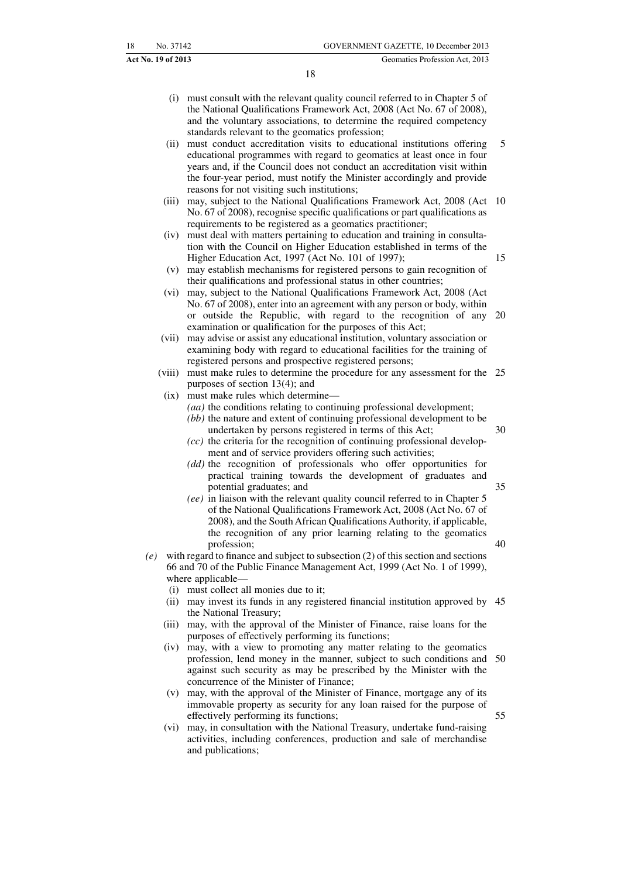- (i) must consult with the relevant quality council referred to in Chapter 5 of the National Qualifications Framework Act, 2008 (Act No. 67 of 2008), and the voluntary associations, to determine the required competency standards relevant to the geomatics profession;
- (ii) must conduct accreditation visits to educational institutions offering educational programmes with regard to geomatics at least once in four years and, if the Council does not conduct an accreditation visit within the four-year period, must notify the Minister accordingly and provide reasons for not visiting such institutions; 5
- (iii) may, subject to the National Qualifications Framework Act, 2008 (Act 10 No. 67 of 2008), recognise specific qualifications or part qualifications as requirements to be registered as a geomatics practitioner;
- (iv) must deal with matters pertaining to education and training in consultation with the Council on Higher Education established in terms of the Higher Education Act, 1997 (Act No. 101 of 1997);
- (v) may establish mechanisms for registered persons to gain recognition of their qualifications and professional status in other countries;
- (vi) may, subject to the National Qualifications Framework Act, 2008 (Act No. 67 of 2008), enter into an agreement with any person or body, within or outside the Republic, with regard to the recognition of any examination or qualification for the purposes of this Act; 20
- (vii) may advise or assist any educational institution, voluntary association or examining body with regard to educational facilities for the training of registered persons and prospective registered persons;
- (viii) must make rules to determine the procedure for any assessment for the 25 purposes of section 13(4); and
- (ix) must make rules which determine—
	- *(aa)* the conditions relating to continuing professional development;
	- *(bb)* the nature and extent of continuing professional development to be undertaken by persons registered in terms of this Act;

35

40

55

- *(cc)* the criteria for the recognition of continuing professional development and of service providers offering such activities;
- *(dd)* the recognition of professionals who offer opportunities for practical training towards the development of graduates and potential graduates; and
- *(ee)* in liaison with the relevant quality council referred to in Chapter 5 of the National Qualifications Framework Act, 2008 (Act No. 67 of 2008), and the South African Qualifications Authority, if applicable, the recognition of any prior learning relating to the geomatics profession;
- *(e)* with regard to finance and subject to subsection (2) of this section and sections 66 and 70 of the Public Finance Management Act, 1999 (Act No. 1 of 1999), where applicable—
	- (i) must collect all monies due to it;
	- (ii) may invest its funds in any registered financial institution approved by 45 the National Treasury;
	- (iii) may, with the approval of the Minister of Finance, raise loans for the purposes of effectively performing its functions;
	- (iv) may, with a view to promoting any matter relating to the geomatics profession, lend money in the manner, subject to such conditions and 50 against such security as may be prescribed by the Minister with the concurrence of the Minister of Finance;
	- (v) may, with the approval of the Minister of Finance, mortgage any of its immovable property as security for any loan raised for the purpose of effectively performing its functions;
	- (vi) may, in consultation with the National Treasury, undertake fund-raising activities, including conferences, production and sale of merchandise and publications;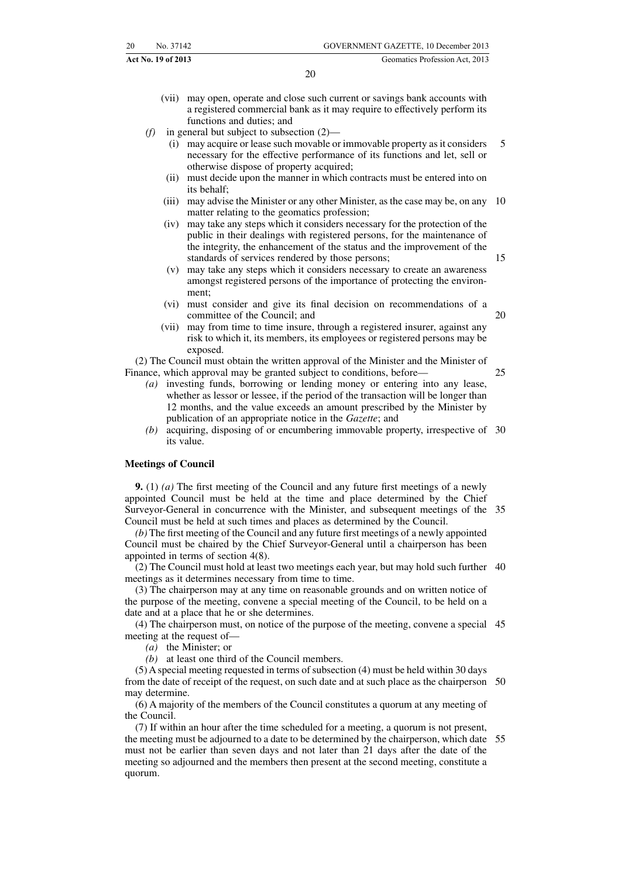20

25

(vii) may open, operate and close such current or savings bank accounts with a registered commercial bank as it may require to effectively perform its functions and duties; and

*(f)* in general but subject to subsection (2)—

- (i) may acquire or lease such movable or immovable property as it considers necessary for the effective performance of its functions and let, sell or otherwise dispose of property acquired; 5
- (ii) must decide upon the manner in which contracts must be entered into on its behalf;
- (iii) may advise the Minister or any other Minister, as the case may be, on any 10 matter relating to the geomatics profession;
- (iv) may take any steps which it considers necessary for the protection of the public in their dealings with registered persons, for the maintenance of the integrity, the enhancement of the status and the improvement of the standards of services rendered by those persons;
- (v) may take any steps which it considers necessary to create an awareness amongst registered persons of the importance of protecting the environment;
- (vi) must consider and give its final decision on recommendations of a committee of the Council; and
- (vii) may from time to time insure, through a registered insurer, against any risk to which it, its members, its employees or registered persons may be exposed.

(2) The Council must obtain the written approval of the Minister and the Minister of Finance, which approval may be granted subject to conditions, before-

- *(a)* investing funds, borrowing or lending money or entering into any lease, whether as lessor or lessee, if the period of the transaction will be longer than 12 months, and the value exceeds an amount prescribed by the Minister by publication of an appropriate notice in the *Gazette*; and
- *(b)* acquiring, disposing of or encumbering immovable property, irrespective of 30 its value.

#### **Meetings of Council**

**9.** (1) *(a)* The first meeting of the Council and any future first meetings of a newly appointed Council must be held at the time and place determined by the Chief Surveyor-General in concurrence with the Minister, and subsequent meetings of the 35 Council must be held at such times and places as determined by the Council.

*(b)* The first meeting of the Council and any future first meetings of a newly appointed Council must be chaired by the Chief Surveyor-General until a chairperson has been appointed in terms of section 4(8).

(2) The Council must hold at least two meetings each year, but may hold such further 40 meetings as it determines necessary from time to time.

(3) The chairperson may at any time on reasonable grounds and on written notice of the purpose of the meeting, convene a special meeting of the Council, to be held on a date and at a place that he or she determines.

(4) The chairperson must, on notice of the purpose of the meeting, convene a special 45 meeting at the request of—

*(a)* the Minister; or

*(b)* at least one third of the Council members.

(5) A special meeting requested in terms of subsection (4) must be held within 30 days from the date of receipt of the request, on such date and at such place as the chairperson 50 may determine.

(6) A majority of the members of the Council constitutes a quorum at any meeting of the Council.

(7) If within an hour after the time scheduled for a meeting, a quorum is not present, the meeting must be adjourned to a date to be determined by the chairperson, which date 55must not be earlier than seven days and not later than 21 days after the date of the meeting so adjourned and the members then present at the second meeting, constitute a quorum.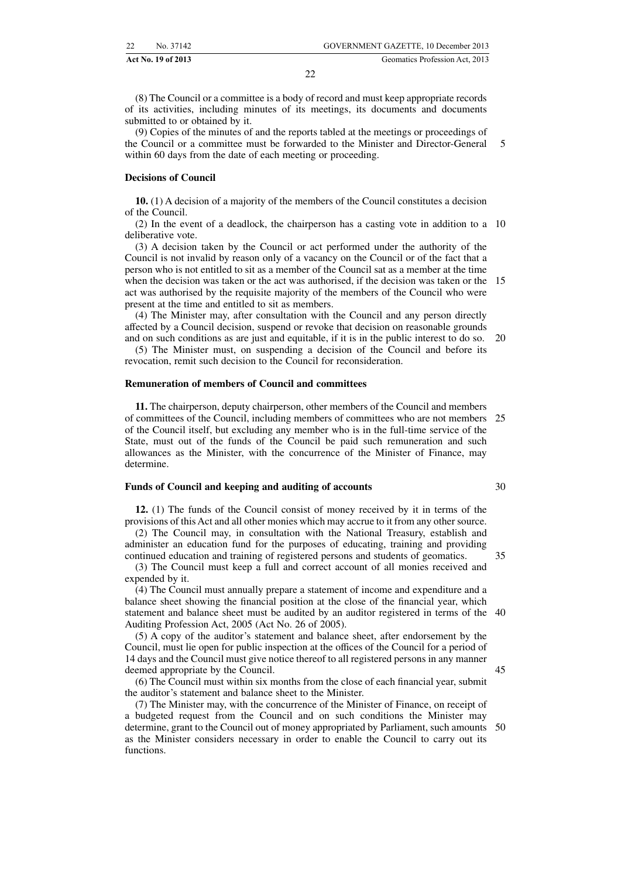(8) The Council or a committee is a body of record and must keep appropriate records of its activities, including minutes of its meetings, its documents and documents submitted to or obtained by it.

(9) Copies of the minutes of and the reports tabled at the meetings or proceedings of the Council or a committee must be forwarded to the Minister and Director-General within 60 days from the date of each meeting or proceeding. 5

#### **Decisions of Council**

**10.** (1) A decision of a majority of the members of the Council constitutes a decision of the Council.

(2) In the event of a deadlock, the chairperson has a casting vote in addition to a 10 deliberative vote.

(3) A decision taken by the Council or act performed under the authority of the Council is not invalid by reason only of a vacancy on the Council or of the fact that a person who is not entitled to sit as a member of the Council sat as a member at the time when the decision was taken or the act was authorised, if the decision was taken or the 15 act was authorised by the requisite majority of the members of the Council who were present at the time and entitled to sit as members.

(4) The Minister may, after consultation with the Council and any person directly affected by a Council decision, suspend or revoke that decision on reasonable grounds and on such conditions as are just and equitable, if it is in the public interest to do so.

(5) The Minister must, on suspending a decision of the Council and before its revocation, remit such decision to the Council for reconsideration. 20

#### **Remuneration of members of Council and committees**

**11.** The chairperson, deputy chairperson, other members of the Council and members of committees of the Council, including members of committees who are not members 25 of the Council itself, but excluding any member who is in the full-time service of the State, must out of the funds of the Council be paid such remuneration and such allowances as the Minister, with the concurrence of the Minister of Finance, may determine.

#### **Funds of Council and keeping and auditing of accounts**

**12.** (1) The funds of the Council consist of money received by it in terms of the provisions of this Act and all other monies which may accrue to it from any other source.

(2) The Council may, in consultation with the National Treasury, establish and administer an education fund for the purposes of educating, training and providing continued education and training of registered persons and students of geomatics. 35

(3) The Council must keep a full and correct account of all monies received and expended by it.

(4) The Council must annually prepare a statement of income and expenditure and a balance sheet showing the financial position at the close of the financial year, which statement and balance sheet must be audited by an auditor registered in terms of the 40 Auditing Profession Act, 2005 (Act No. 26 of 2005).

(5) A copy of the auditor's statement and balance sheet, after endorsement by the Council, must lie open for public inspection at the offices of the Council for a period of 14 days and the Council must give notice thereof to all registered persons in any manner deemed appropriate by the Council.

(6) The Council must within six months from the close of each financial year, submit the auditor's statement and balance sheet to the Minister.

(7) The Minister may, with the concurrence of the Minister of Finance, on receipt of a budgeted request from the Council and on such conditions the Minister may determine, grant to the Council out of money appropriated by Parliament, such amounts 50as the Minister considers necessary in order to enable the Council to carry out its functions.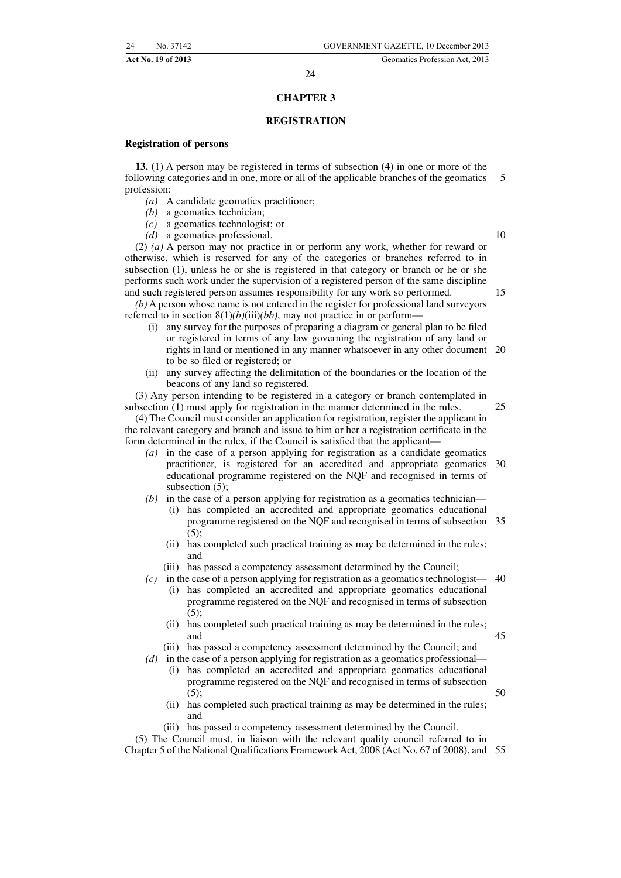#### **CHAPTER 3**

#### **REGISTRATION**

#### **Registration of persons**

**13.** (1) A person may be registered in terms of subsection (4) in one or more of the following categories and in one, more or all of the applicable branches of the geomatics profession: 5

- *(a)* A candidate geomatics practitioner;
- *(b)* a geomatics technician;
- *(c)* a geomatics technologist; or
- *(d)* a geomatics professional.

(2) *(a)* A person may not practice in or perform any work, whether for reward or otherwise, which is reserved for any of the categories or branches referred to in subsection (1), unless he or she is registered in that category or branch or he or she performs such work under the supervision of a registered person of the same discipline and such registered person assumes responsibility for any work so performed.

*(b)* A person whose name is not entered in the register for professional land surveyors referred to in section  $8(1)(b)(iii)(bb)$ , may not practice in or perform-

- (i) any survey for the purposes of preparing a diagram or general plan to be filed or registered in terms of any law governing the registration of any land or rights in land or mentioned in any manner whatsoever in any other document 20 to be so filed or registered; or
- (ii) any survey affecting the delimitation of the boundaries or the location of the beacons of any land so registered.

(3) Any person intending to be registered in a category or branch contemplated in subsection (1) must apply for registration in the manner determined in the rules. 25

- (4) The Council must consider an application for registration, register the applicant in the relevant category and branch and issue to him or her a registration certificate in the form determined in the rules, if the Council is satisfied that the applicant—
	- *(a)* in the case of a person applying for registration as a candidate geomatics practitioner, is registered for an accredited and appropriate geomatics 30 educational programme registered on the NQF and recognised in terms of subsection (5);

*(b)* in the case of a person applying for registration as a geomatics technician—

- (i) has completed an accredited and appropriate geomatics educational programme registered on the NQF and recognised in terms of subsection 35  $(5)$
- (ii) has completed such practical training as may be determined in the rules; and
- (iii) has passed a competency assessment determined by the Council;
- $(c)$  in the case of a person applying for registration as a geomatics technologist— 40 (i) has completed an accredited and appropriate geomatics educational programme registered on the NQF and recognised in terms of subsection  $(5)$ :
	- (ii) has completed such practical training as may be determined in the rules; and 45
	- (iii) has passed a competency assessment determined by the Council; and

*(d)* in the case of a person applying for registration as a geomatics professional—

- (i) has completed an accredited and appropriate geomatics educational programme registered on the NQF and recognised in terms of subsection  $(5)$
- (ii) has completed such practical training as may be determined in the rules; and
- (iii) has passed a competency assessment determined by the Council.

(5) The Council must, in liaison with the relevant quality council referred to in Chapter 5 of the National Qualifications Framework Act, 2008 (Act No. 67 of 2008), and 55

10

15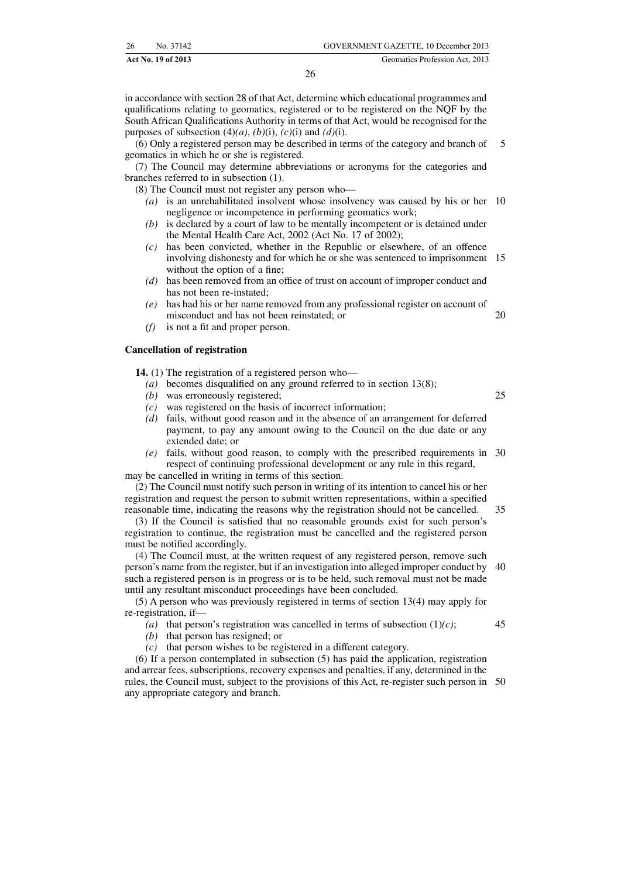in accordance with section 28 of that Act, determine which educational programmes and qualifications relating to geomatics, registered or to be registered on the NQF by the South African Qualifications Authority in terms of that Act, would be recognised for the purposes of subsection  $(4)(a)$ ,  $(b)(i)$ ,  $(c)(i)$  and  $(d)(i)$ .

(6) Only a registered person may be described in terms of the category and branch of geomatics in which he or she is registered. 5

(7) The Council may determine abbreviations or acronyms for the categories and branches referred to in subsection (1).

(8) The Council must not register any person who—

- *(a)* is an unrehabilitated insolvent whose insolvency was caused by his or her 10 negligence or incompetence in performing geomatics work;
- *(b)* is declared by a court of law to be mentally incompetent or is detained under the Mental Health Care Act, 2002 (Act No. 17 of 2002);
- *(c)* has been convicted, whether in the Republic or elsewhere, of an offence involving dishonesty and for which he or she was sentenced to imprisonment 15 without the option of a fine;
- *(d)* has been removed from an office of trust on account of improper conduct and has not been re-instated;
- *(e)* has had his or her name removed from any professional register on account of misconduct and has not been reinstated; or
- *(f)* is not a fit and proper person.

#### **Cancellation of registration**

**14.** (1) The registration of a registered person who—

- *(a)* becomes disqualified on any ground referred to in section 13(8);
- *(b)* was erroneously registered;
- *(c)* was registered on the basis of incorrect information;
- *(d)* fails, without good reason and in the absence of an arrangement for deferred payment, to pay any amount owing to the Council on the due date or any extended date; or
- *(e)* fails, without good reason, to comply with the prescribed requirements in 30 respect of continuing professional development or any rule in this regard, may be cancelled in writing in terms of this section.

(2) The Council must notify such person in writing of its intention to cancel his or her registration and request the person to submit written representations, within a specified

reasonable time, indicating the reasons why the registration should not be cancelled. (3) If the Council is satisfied that no reasonable grounds exist for such person's registration to continue, the registration must be cancelled and the registered person must be notified accordingly. 35

(4) The Council must, at the written request of any registered person, remove such person's name from the register, but if an investigation into alleged improper conduct by 40 such a registered person is in progress or is to be held, such removal must not be made until any resultant misconduct proceedings have been concluded.

(5) A person who was previously registered in terms of section 13(4) may apply for re-registration, if—

- *(a)* that person's registration was cancelled in terms of subsection (1)*(c)*;
- *(b)* that person has resigned; or
- *(c)* that person wishes to be registered in a different category.

(6) If a person contemplated in subsection (5) has paid the application, registration and arrear fees, subscriptions, recovery expenses and penalties, if any, determined in the rules, the Council must, subject to the provisions of this Act, re-register such person in 50any appropriate category and branch.

25

45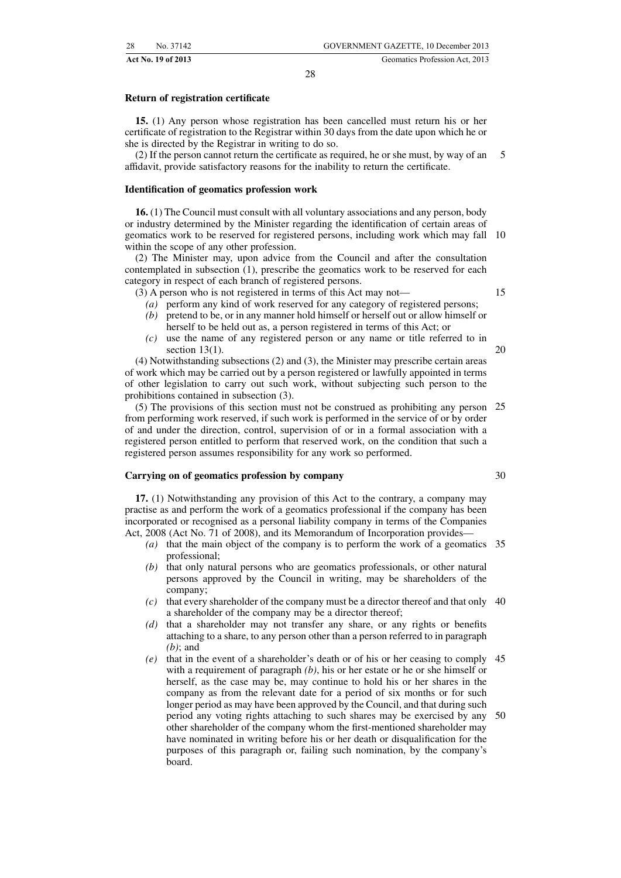#### **Return of registration certificate**

**15.** (1) Any person whose registration has been cancelled must return his or her certificate of registration to the Registrar within 30 days from the date upon which he or she is directed by the Registrar in writing to do so.

(2) If the person cannot return the certificate as required, he or she must, by way of an affidavit, provide satisfactory reasons for the inability to return the certificate. 5

#### **Identification of geomatics profession work**

**16.** (1) The Council must consult with all voluntary associations and any person, body or industry determined by the Minister regarding the identification of certain areas of geomatics work to be reserved for registered persons, including work which may fall 10 within the scope of any other profession.

(2) The Minister may, upon advice from the Council and after the consultation contemplated in subsection (1), prescribe the geomatics work to be reserved for each category in respect of each branch of registered persons.

(3) A person who is not registered in terms of this Act may not—

- *(a)* perform any kind of work reserved for any category of registered persons;
- *(b)* pretend to be, or in any manner hold himself or herself out or allow himself or herself to be held out as, a person registered in terms of this Act; or
- *(c)* use the name of any registered person or any name or title referred to in section  $13(1)$ .

(4) Notwithstanding subsections (2) and (3), the Minister may prescribe certain areas of work which may be carried out by a person registered or lawfully appointed in terms of other legislation to carry out such work, without subjecting such person to the prohibitions contained in subsection (3).

(5) The provisions of this section must not be construed as prohibiting any person 25 from performing work reserved, if such work is performed in the service of or by order of and under the direction, control, supervision of or in a formal association with a registered person entitled to perform that reserved work, on the condition that such a registered person assumes responsibility for any work so performed.

#### **Carrying on of geomatics profession by company**

**17.** (1) Notwithstanding any provision of this Act to the contrary, a company may practise as and perform the work of a geomatics professional if the company has been incorporated or recognised as a personal liability company in terms of the Companies Act, 2008 (Act No. 71 of 2008), and its Memorandum of Incorporation provides—

- *(a)* that the main object of the company is to perform the work of a geomatics 35 professional;
- *(b)* that only natural persons who are geomatics professionals, or other natural persons approved by the Council in writing, may be shareholders of the company;
- *(c)* that every shareholder of the company must be a director thereof and that only 40 a shareholder of the company may be a director thereof;
- *(d)* that a shareholder may not transfer any share, or any rights or benefits attaching to a share, to any person other than a person referred to in paragraph *(b)*; and
- *(e)* that in the event of a shareholder's death or of his or her ceasing to comply 45 with a requirement of paragraph *(b)*, his or her estate or he or she himself or herself, as the case may be, may continue to hold his or her shares in the company as from the relevant date for a period of six months or for such longer period as may have been approved by the Council, and that during such period any voting rights attaching to such shares may be exercised by any 50other shareholder of the company whom the first-mentioned shareholder may have nominated in writing before his or her death or disqualification for the purposes of this paragraph or, failing such nomination, by the company's board.

15

20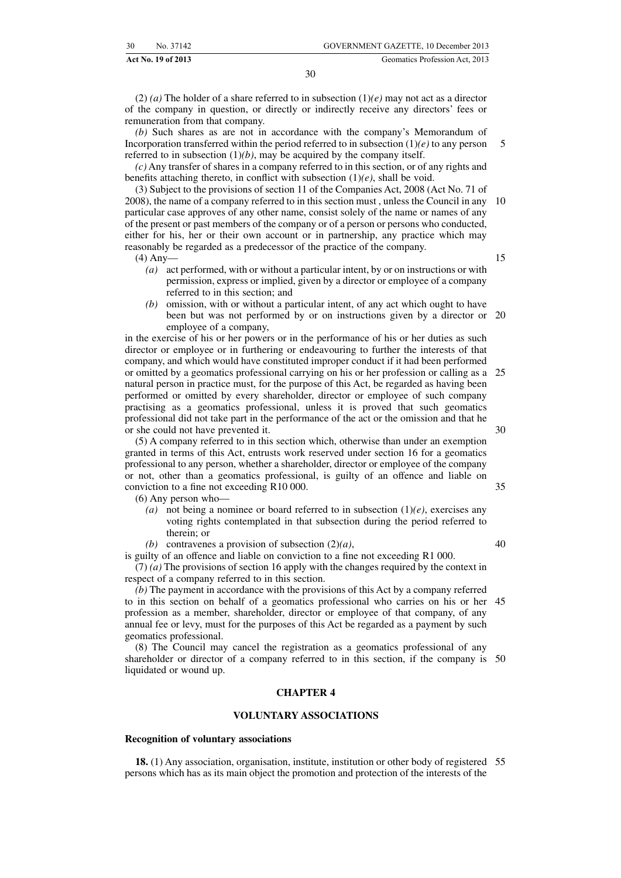(2) *(a)* The holder of a share referred to in subsection  $(1)(e)$  may not act as a director of the company in question, or directly or indirectly receive any directors' fees or remuneration from that company.

*(b)* Such shares as are not in accordance with the company's Memorandum of Incorporation transferred within the period referred to in subsection (1)*(e)* to any person referred to in subsection  $(1)(b)$ , may be acquired by the company itself. 5

*(c)* Any transfer of shares in a company referred to in this section, or of any rights and benefits attaching thereto, in conflict with subsection (1)*(e)*, shall be void.

(3) Subject to the provisions of section 11 of the Companies Act, 2008 (Act No. 71 of 2008), the name of a company referred to in this section must , unless the Council in any 10 particular case approves of any other name, consist solely of the name or names of any of the present or past members of the company or of a person or persons who conducted, either for his, her or their own account or in partnership, any practice which may reasonably be regarded as a predecessor of the practice of the company.

(4) Any—

- 15
- *(a)* act performed, with or without a particular intent, by or on instructions or with permission, express or implied, given by a director or employee of a company referred to in this section; and
- *(b)* omission, with or without a particular intent, of any act which ought to have been but was not performed by or on instructions given by a director or employee of a company, 20

in the exercise of his or her powers or in the performance of his or her duties as such director or employee or in furthering or endeavouring to further the interests of that company, and which would have constituted improper conduct if it had been performed or omitted by a geomatics professional carrying on his or her profession or calling as a natural person in practice must, for the purpose of this Act, be regarded as having been performed or omitted by every shareholder, director or employee of such company practising as a geomatics professional, unless it is proved that such geomatics professional did not take part in the performance of the act or the omission and that he or she could not have prevented it. 25 30

(5) A company referred to in this section which, otherwise than under an exemption granted in terms of this Act, entrusts work reserved under section 16 for a geomatics professional to any person, whether a shareholder, director or employee of the company or not, other than a geomatics professional, is guilty of an offence and liable on conviction to a fine not exceeding R10 000.

(6) Any person who—

- *(a)* not being a nominee or board referred to in subsection (1)*(e)*, exercises any voting rights contemplated in that subsection during the period referred to therein; or
- *(b)* contravenes a provision of subsection (2)*(a)*,

is guilty of an offence and liable on conviction to a fine not exceeding R1 000. (7) *(a)* The provisions of section 16 apply with the changes required by the context in respect of a company referred to in this section.

*(b)* The payment in accordance with the provisions of this Act by a company referred to in this section on behalf of a geomatics professional who carries on his or her 45 profession as a member, shareholder, director or employee of that company, of any annual fee or levy, must for the purposes of this Act be regarded as a payment by such geomatics professional.

(8) The Council may cancel the registration as a geomatics professional of any shareholder or director of a company referred to in this section, if the company is 50 liquidated or wound up.

#### **CHAPTER 4**

#### **VOLUNTARY ASSOCIATIONS**

#### **Recognition of voluntary associations**

**18.** (1) Any association, organisation, institute, institution or other body of registered 55persons which has as its main object the promotion and protection of the interests of the

35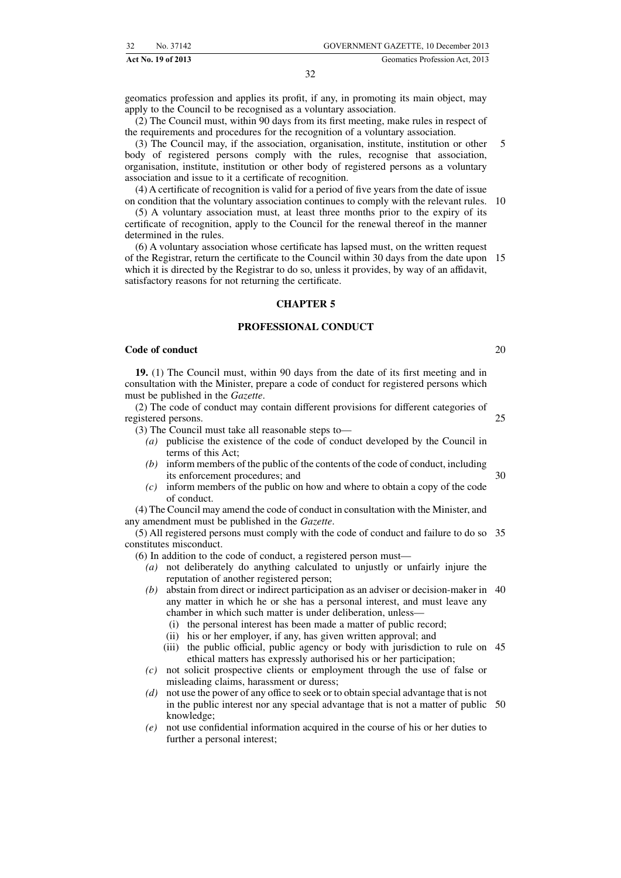geomatics profession and applies its profit, if any, in promoting its main object, may apply to the Council to be recognised as a voluntary association.

(2) The Council must, within 90 days from its first meeting, make rules in respect of the requirements and procedures for the recognition of a voluntary association.

(3) The Council may, if the association, organisation, institute, institution or other body of registered persons comply with the rules, recognise that association. organisation, institute, institution or other body of registered persons as a voluntary association and issue to it a certificate of recognition. 5

(4) A certificate of recognition is valid for a period of five years from the date of issue on condition that the voluntary association continues to comply with the relevant rules. 10

(5) A voluntary association must, at least three months prior to the expiry of its certificate of recognition, apply to the Council for the renewal thereof in the manner determined in the rules.

(6) A voluntary association whose certificate has lapsed must, on the written request of the Registrar, return the certificate to the Council within 30 days from the date upon 15 which it is directed by the Registrar to do so, unless it provides, by way of an affidavit, satisfactory reasons for not returning the certificate.

#### **CHAPTER 5**

#### **PROFESSIONAL CONDUCT**

#### **Code of conduct**

**19.** (1) The Council must, within 90 days from the date of its first meeting and in consultation with the Minister, prepare a code of conduct for registered persons which must be published in the *Gazette*.

(2) The code of conduct may contain different provisions for different categories of registered persons. 25

(3) The Council must take all reasonable steps to—

- *(a)* publicise the existence of the code of conduct developed by the Council in terms of this Act;
- *(b)* inform members of the public of the contents of the code of conduct, including its enforcement procedures; and 30
- *(c)* inform members of the public on how and where to obtain a copy of the code of conduct.

(4) The Council may amend the code of conduct in consultation with the Minister, and any amendment must be published in the *Gazette*.

(5) All registered persons must comply with the code of conduct and failure to do so 35 constitutes misconduct.

(6) In addition to the code of conduct, a registered person must—

- *(a)* not deliberately do anything calculated to unjustly or unfairly injure the reputation of another registered person;
- *(b)* abstain from direct or indirect participation as an adviser or decision-maker in 40 any matter in which he or she has a personal interest, and must leave any chamber in which such matter is under deliberation, unless—
	- (i) the personal interest has been made a matter of public record;
	- (ii) his or her employer, if any, has given written approval; and
	- (iii) the public official, public agency or body with jurisdiction to rule on 45 ethical matters has expressly authorised his or her participation;
- *(c)* not solicit prospective clients or employment through the use of false or misleading claims, harassment or duress;
- *(d)* not use the power of any office to seek or to obtain special advantage that is not in the public interest nor any special advantage that is not a matter of public 50knowledge;
- *(e)* not use confidential information acquired in the course of his or her duties to further a personal interest;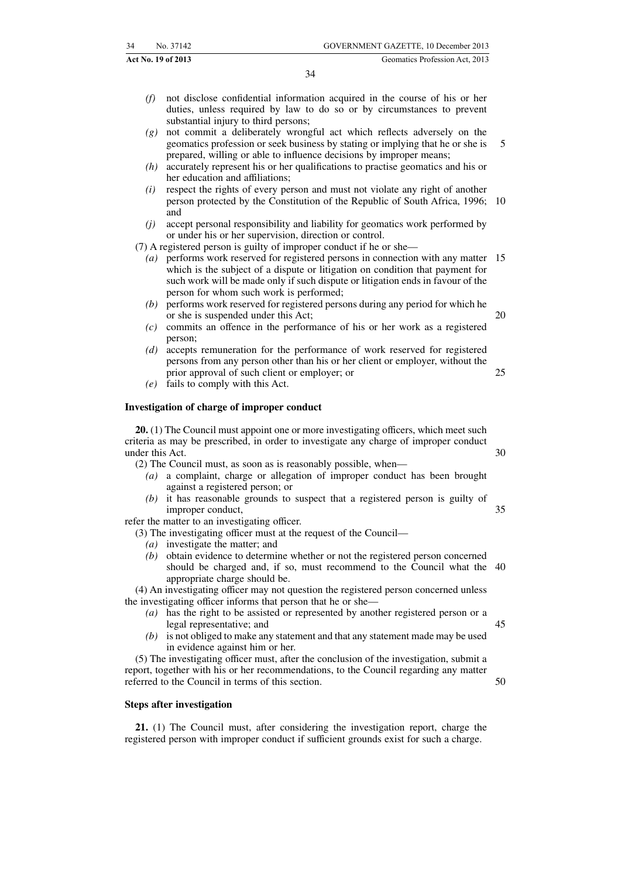- *(f)* not disclose confidential information acquired in the course of his or her duties, unless required by law to do so or by circumstances to prevent substantial injury to third persons;
- *(g)* not commit a deliberately wrongful act which reflects adversely on the geomatics profession or seek business by stating or implying that he or she is prepared, willing or able to influence decisions by improper means; 5
- *(h)* accurately represent his or her qualifications to practise geomatics and his or her education and affiliations;
- *(i)* respect the rights of every person and must not violate any right of another person protected by the Constitution of the Republic of South Africa, 1996; 10 and
- *(j)* accept personal responsibility and liability for geomatics work performed by or under his or her supervision, direction or control.

(7) A registered person is guilty of improper conduct if he or she—

- *(a)* performs work reserved for registered persons in connection with any matter 15 which is the subject of a dispute or litigation on condition that payment for such work will be made only if such dispute or litigation ends in favour of the person for whom such work is performed;
- *(b)* performs work reserved for registered persons during any period for which he or she is suspended under this Act;
- *(c)* commits an offence in the performance of his or her work as a registered person;
- *(d)* accepts remuneration for the performance of work reserved for registered persons from any person other than his or her client or employer, without the prior approval of such client or employer; or 25
- *(e)* fails to comply with this Act.

#### **Investigation of charge of improper conduct**

**20.** (1) The Council must appoint one or more investigating officers, which meet such criteria as may be prescribed, in order to investigate any charge of improper conduct under this Act. 30

(2) The Council must, as soon as is reasonably possible, when—

- *(a)* a complaint, charge or allegation of improper conduct has been brought against a registered person; or
- *(b)* it has reasonable grounds to suspect that a registered person is guilty of improper conduct, 35

refer the matter to an investigating officer.

(3) The investigating officer must at the request of the Council—

- *(a)* investigate the matter; and
- *(b)* obtain evidence to determine whether or not the registered person concerned should be charged and, if so, must recommend to the Council what the 40 appropriate charge should be.

(4) An investigating officer may not question the registered person concerned unless the investigating officer informs that person that he or she—

- *(a)* has the right to be assisted or represented by another registered person or a legal representative; and
- *(b)* is not obliged to make any statement and that any statement made may be used in evidence against him or her.

(5) The investigating officer must, after the conclusion of the investigation, submit a report, together with his or her recommendations, to the Council regarding any matter referred to the Council in terms of this section.

#### **Steps after investigation**

**21.** (1) The Council must, after considering the investigation report, charge the registered person with improper conduct if sufficient grounds exist for such a charge.

20

50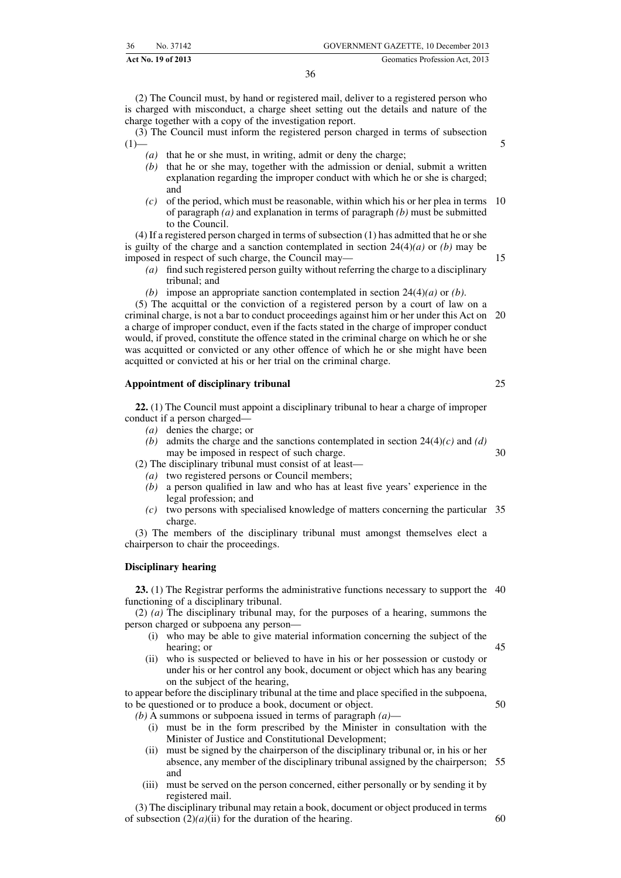**Act No. 19 of 2013** Geomatics Profession Act, 2013

(2) The Council must, by hand or registered mail, deliver to a registered person who is charged with misconduct, a charge sheet setting out the details and nature of the charge together with a copy of the investigation report.

(3) The Council must inform the registered person charged in terms of subsection  $(1)$ 

- *(a)* that he or she must, in writing, admit or deny the charge;
- *(b)* that he or she may, together with the admission or denial, submit a written explanation regarding the improper conduct with which he or she is charged; and
- *(c)* of the period, which must be reasonable, within which his or her plea in terms 10 of paragraph *(a)* and explanation in terms of paragraph *(b)* must be submitted to the Council.

(4) If a registered person charged in terms of subsection (1) has admitted that he or she is guilty of the charge and a sanction contemplated in section 24(4)*(a)* or *(b)* may be imposed in respect of such charge, the Council may—

- *(a)* find such registered person guilty without referring the charge to a disciplinary tribunal; and
- *(b)* impose an appropriate sanction contemplated in section 24(4)*(a)* or *(b)*.

(5) The acquittal or the conviction of a registered person by a court of law on a criminal charge, is not a bar to conduct proceedings against him or her under this Act on a charge of improper conduct, even if the facts stated in the charge of improper conduct would, if proved, constitute the offence stated in the criminal charge on which he or she was acquitted or convicted or any other offence of which he or she might have been acquitted or convicted at his or her trial on the criminal charge. 20

#### **Appointment of disciplinary tribunal**

**22.** (1) The Council must appoint a disciplinary tribunal to hear a charge of improper conduct if a person charged—

- *(a)* denies the charge; or
- *(b)* admits the charge and the sanctions contemplated in section 24(4)*(c)* and *(d)* may be imposed in respect of such charge. 30

(2) The disciplinary tribunal must consist of at least—

- *(a)* two registered persons or Council members;
- *(b)* a person qualified in law and who has at least five years' experience in the legal profession; and
- *(c)* two persons with specialised knowledge of matters concerning the particular 35 charge.

(3) The members of the disciplinary tribunal must amongst themselves elect a chairperson to chair the proceedings.

#### **Disciplinary hearing**

**23.** (1) The Registrar performs the administrative functions necessary to support the 40 functioning of a disciplinary tribunal.

(2) *(a)* The disciplinary tribunal may, for the purposes of a hearing, summons the person charged or subpoena any person—

- (i) who may be able to give material information concerning the subject of the hearing; or
- (ii) who is suspected or believed to have in his or her possession or custody or under his or her control any book, document or object which has any bearing on the subject of the hearing,

to appear before the disciplinary tribunal at the time and place specified in the subpoena, to be questioned or to produce a book, document or object.

*(b)* A summons or subpoena issued in terms of paragraph *(a)*—

- (i) must be in the form prescribed by the Minister in consultation with the Minister of Justice and Constitutional Development;
- (ii) must be signed by the chairperson of the disciplinary tribunal or, in his or her absence, any member of the disciplinary tribunal assigned by the chairperson; 55 and
- (iii) must be served on the person concerned, either personally or by sending it by registered mail.

(3) The disciplinary tribunal may retain a book, document or object produced in terms of subsection  $(2)(a)(ii)$  for the duration of the hearing.

50

45

25

15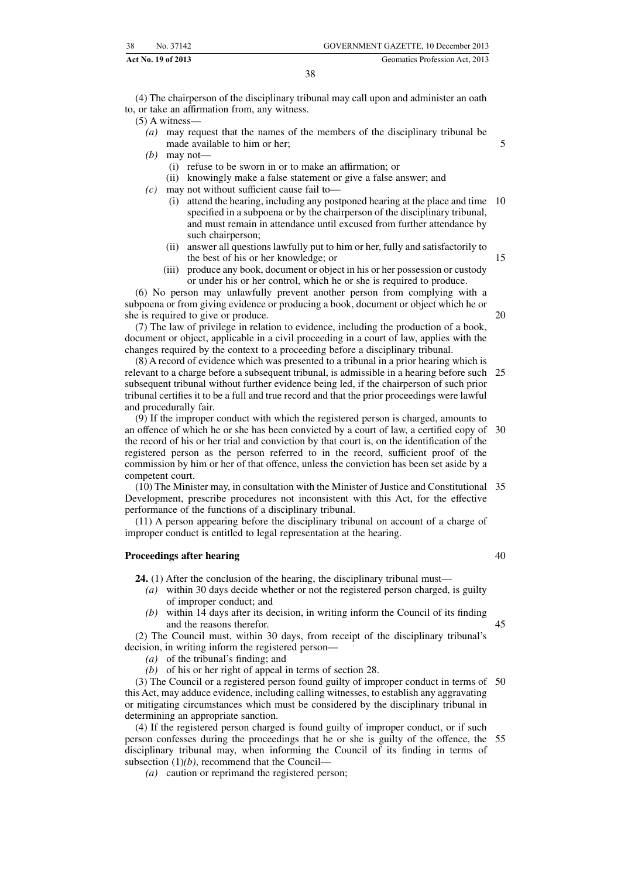|    | Act No. 19 of 2013 | Geomatics Profession Act, 2013       |
|----|--------------------|--------------------------------------|
| 38 | No. 37142          | GOVERNMENT GAZETTE, 10 December 2013 |

(4) The chairperson of the disciplinary tribunal may call upon and administer an oath to, or take an affirmation from, any witness.

(5) A witness—

- *(a)* may request that the names of the members of the disciplinary tribunal be made available to him or her;
- *(b)* may not—
	- (i) refuse to be sworn in or to make an affirmation; or
	- (ii) knowingly make a false statement or give a false answer; and
- *(c)* may not without sufficient cause fail to—
	- (i) attend the hearing, including any postponed hearing at the place and time 10 specified in a subpoena or by the chairperson of the disciplinary tribunal, and must remain in attendance until excused from further attendance by such chairperson;
	- (ii) answer all questions lawfully put to him or her, fully and satisfactorily to the best of his or her knowledge; or
	- (iii) produce any book, document or object in his or her possession or custody or under his or her control, which he or she is required to produce.

(6) No person may unlawfully prevent another person from complying with a subpoena or from giving evidence or producing a book, document or object which he or she is required to give or produce.

(7) The law of privilege in relation to evidence, including the production of a book, document or object, applicable in a civil proceeding in a court of law, applies with the changes required by the context to a proceeding before a disciplinary tribunal.

(8) A record of evidence which was presented to a tribunal in a prior hearing which is relevant to a charge before a subsequent tribunal, is admissible in a hearing before such 25 subsequent tribunal without further evidence being led, if the chairperson of such prior tribunal certifies it to be a full and true record and that the prior proceedings were lawful and procedurally fair.

(9) If the improper conduct with which the registered person is charged, amounts to an offence of which he or she has been convicted by a court of law, a certified copy of 30 the record of his or her trial and conviction by that court is, on the identification of the registered person as the person referred to in the record, sufficient proof of the commission by him or her of that offence, unless the conviction has been set aside by a competent court.

(10) The Minister may, in consultation with the Minister of Justice and Constitutional 35 Development, prescribe procedures not inconsistent with this Act, for the effective performance of the functions of a disciplinary tribunal.

(11) A person appearing before the disciplinary tribunal on account of a charge of improper conduct is entitled to legal representation at the hearing.

#### **Proceedings after hearing**

**24.** (1) After the conclusion of the hearing, the disciplinary tribunal must—

- *(a)* within 30 days decide whether or not the registered person charged, is guilty of improper conduct; and
- *(b)* within 14 days after its decision, in writing inform the Council of its finding and the reasons therefor.

(2) The Council must, within 30 days, from receipt of the disciplinary tribunal's decision, in writing inform the registered person—

- *(a)* of the tribunal's finding; and
- *(b)* of his or her right of appeal in terms of section 28.

(3) The Council or a registered person found guilty of improper conduct in terms of 50 this Act, may adduce evidence, including calling witnesses, to establish any aggravating or mitigating circumstances which must be considered by the disciplinary tribunal in determining an appropriate sanction.

(4) If the registered person charged is found guilty of improper conduct, or if such person confesses during the proceedings that he or she is guilty of the offence, the 55disciplinary tribunal may, when informing the Council of its finding in terms of subsection (1)*(b)*, recommend that the Council—

*(a)* caution or reprimand the registered person;

40

45

5

15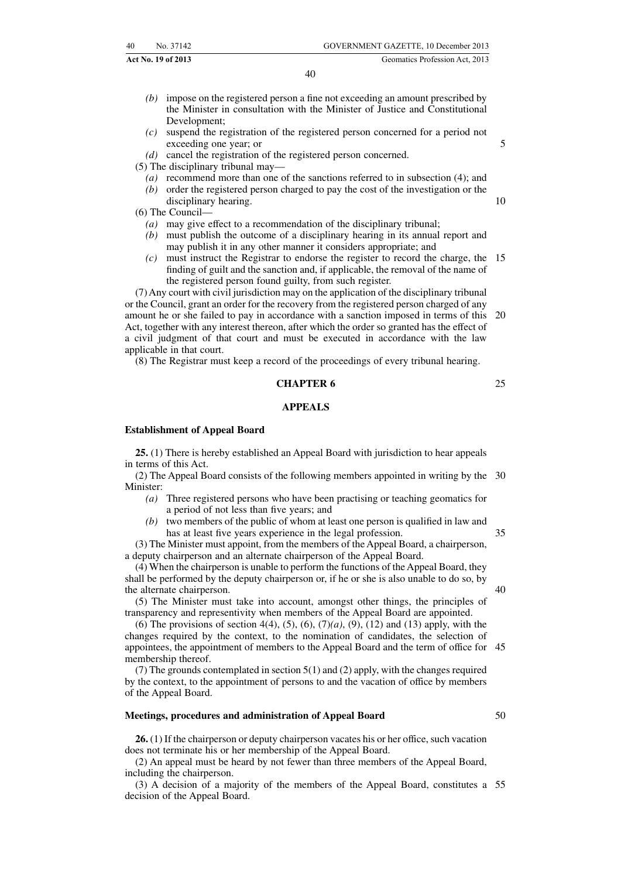|    | Act No. 19 of 2013 | Geomatics Profession Act. 2013       |
|----|--------------------|--------------------------------------|
| 40 | No. 37142          | GOVERNMENT GAZETTE, 10 December 2013 |

- *(b)* impose on the registered person a fine not exceeding an amount prescribed by the Minister in consultation with the Minister of Justice and Constitutional Development;
- *(c)* suspend the registration of the registered person concerned for a period not exceeding one year; or
- *(d)* cancel the registration of the registered person concerned.

(5) The disciplinary tribunal may—

- *(a)* recommend more than one of the sanctions referred to in subsection (4); and
- *(b)* order the registered person charged to pay the cost of the investigation or the disciplinary hearing.

(6) The Council—

- *(a)* may give effect to a recommendation of the disciplinary tribunal;
- *(b)* must publish the outcome of a disciplinary hearing in its annual report and may publish it in any other manner it considers appropriate; and
- *(c)* must instruct the Registrar to endorse the register to record the charge, the 15 finding of guilt and the sanction and, if applicable, the removal of the name of the registered person found guilty, from such register.

(7) Any court with civil jurisdiction may on the application of the disciplinary tribunal or the Council, grant an order for the recovery from the registered person charged of any amount he or she failed to pay in accordance with a sanction imposed in terms of this Act, together with any interest thereon, after which the order so granted has the effect of a civil judgment of that court and must be executed in accordance with the law applicable in that court. 20

(8) The Registrar must keep a record of the proceedings of every tribunal hearing.

#### **CHAPTER 6**

#### **APPEALS**

#### **Establishment of Appeal Board**

**25.** (1) There is hereby established an Appeal Board with jurisdiction to hear appeals in terms of this Act.

(2) The Appeal Board consists of the following members appointed in writing by the 30 Minister:

- *(a)* Three registered persons who have been practising or teaching geomatics for a period of not less than five years; and
- *(b)* two members of the public of whom at least one person is qualified in law and has at least five years experience in the legal profession. 35

(3) The Minister must appoint, from the members of the Appeal Board, a chairperson, a deputy chairperson and an alternate chairperson of the Appeal Board.

(4) When the chairperson is unable to perform the functions of the Appeal Board, they shall be performed by the deputy chairperson or, if he or she is also unable to do so, by the alternate chairperson.

(5) The Minister must take into account, amongst other things, the principles of transparency and representivity when members of the Appeal Board are appointed.

(6) The provisions of section 4(4), (5), (6), (7)*(a)*, (9), (12) and (13) apply, with the changes required by the context, to the nomination of candidates, the selection of appointees, the appointment of members to the Appeal Board and the term of office for 45 membership thereof.

(7) The grounds contemplated in section 5(1) and (2) apply, with the changes required by the context, to the appointment of persons to and the vacation of office by members of the Appeal Board.

#### **Meetings, procedures and administration of Appeal Board**

**26.** (1) If the chairperson or deputy chairperson vacates his or her office, such vacation does not terminate his or her membership of the Appeal Board.

(2) An appeal must be heard by not fewer than three members of the Appeal Board, including the chairperson.

(3) A decision of a majority of the members of the Appeal Board, constitutes a 55decision of the Appeal Board.

25

5

10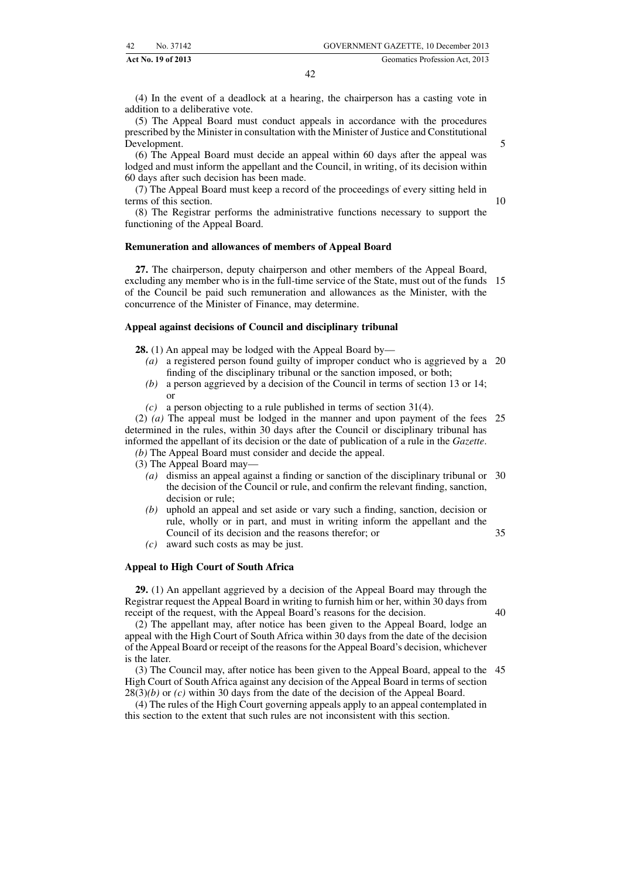(4) In the event of a deadlock at a hearing, the chairperson has a casting vote in addition to a deliberative vote.

(5) The Appeal Board must conduct appeals in accordance with the procedures prescribed by the Minister in consultation with the Minister of Justice and Constitutional Development.

(6) The Appeal Board must decide an appeal within 60 days after the appeal was lodged and must inform the appellant and the Council, in writing, of its decision within 60 days after such decision has been made.

(7) The Appeal Board must keep a record of the proceedings of every sitting held in terms of this section.

10

5

(8) The Registrar performs the administrative functions necessary to support the functioning of the Appeal Board.

#### **Remuneration and allowances of members of Appeal Board**

**27.** The chairperson, deputy chairperson and other members of the Appeal Board, excluding any member who is in the full-time service of the State, must out of the funds 15 of the Council be paid such remuneration and allowances as the Minister, with the concurrence of the Minister of Finance, may determine.

#### **Appeal against decisions of Council and disciplinary tribunal**

**28.** (1) An appeal may be lodged with the Appeal Board by—

- *(a)* a registered person found guilty of improper conduct who is aggrieved by a 20 finding of the disciplinary tribunal or the sanction imposed, or both;
- *(b)* a person aggrieved by a decision of the Council in terms of section 13 or 14; or
- *(c)* a person objecting to a rule published in terms of section 31(4).

(2) *(a)* The appeal must be lodged in the manner and upon payment of the fees 25 determined in the rules, within 30 days after the Council or disciplinary tribunal has informed the appellant of its decision or the date of publication of a rule in the *Gazette*.

*(b)* The Appeal Board must consider and decide the appeal.

- (3) The Appeal Board may—
	- *(a)* dismiss an appeal against a finding or sanction of the disciplinary tribunal or 30 the decision of the Council or rule, and confirm the relevant finding, sanction, decision or rule;
	- *(b)* uphold an appeal and set aside or vary such a finding, sanction, decision or rule, wholly or in part, and must in writing inform the appellant and the Council of its decision and the reasons therefor; or
	- *(c)* award such costs as may be just.

#### **Appeal to High Court of South Africa**

**29.** (1) An appellant aggrieved by a decision of the Appeal Board may through the Registrar request the Appeal Board in writing to furnish him or her, within 30 days from receipt of the request, with the Appeal Board's reasons for the decision.

40

35

(2) The appellant may, after notice has been given to the Appeal Board, lodge an appeal with the High Court of South Africa within 30 days from the date of the decision of the Appeal Board or receipt of the reasons for the Appeal Board's decision, whichever is the later.

(3) The Council may, after notice has been given to the Appeal Board, appeal to the 45High Court of South Africa against any decision of the Appeal Board in terms of section 28(3)*(b)* or *(c)* within 30 days from the date of the decision of the Appeal Board.

(4) The rules of the High Court governing appeals apply to an appeal contemplated in this section to the extent that such rules are not inconsistent with this section.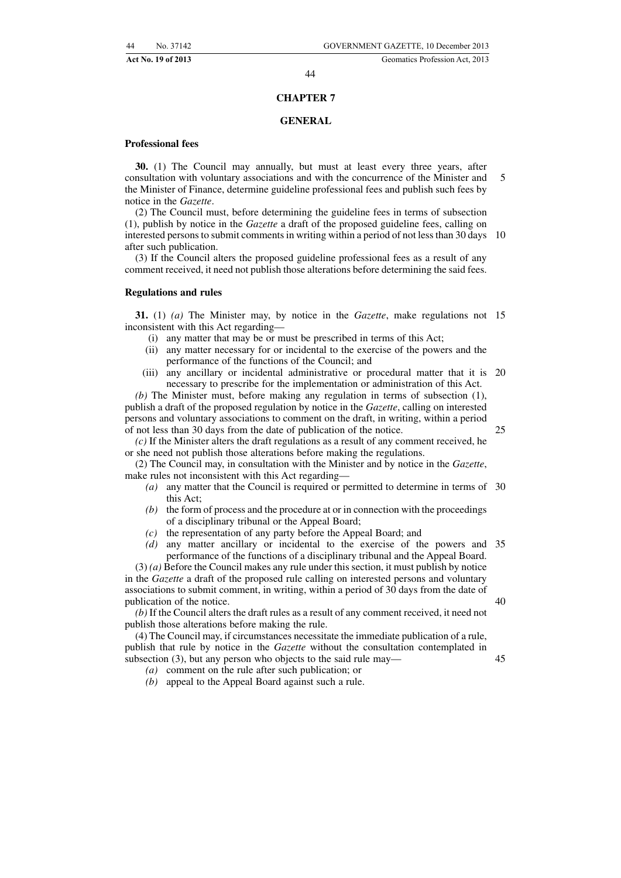45

#### 44

#### **CHAPTER 7**

#### **GENERAL**

#### **Professional fees**

**30.** (1) The Council may annually, but must at least every three years, after consultation with voluntary associations and with the concurrence of the Minister and the Minister of Finance, determine guideline professional fees and publish such fees by notice in the *Gazette*. 5

(2) The Council must, before determining the guideline fees in terms of subsection (1), publish by notice in the *Gazette* a draft of the proposed guideline fees, calling on interested persons to submit comments in writing within a period of not less than 30 days 10 after such publication.

(3) If the Council alters the proposed guideline professional fees as a result of any comment received, it need not publish those alterations before determining the said fees.

#### **Regulations and rules**

**31.** (1) *(a)* The Minister may, by notice in the *Gazette*, make regulations not 15 inconsistent with this Act regarding—

- (i) any matter that may be or must be prescribed in terms of this Act;
- (ii) any matter necessary for or incidental to the exercise of the powers and the performance of the functions of the Council; and
- (iii) any ancillary or incidental administrative or procedural matter that it is 20 necessary to prescribe for the implementation or administration of this Act.

*(b)* The Minister must, before making any regulation in terms of subsection (1), publish a draft of the proposed regulation by notice in the *Gazette*, calling on interested persons and voluntary associations to comment on the draft, in writing, within a period of not less than 30 days from the date of publication of the notice.

*(c)* If the Minister alters the draft regulations as a result of any comment received, he or she need not publish those alterations before making the regulations.

(2) The Council may, in consultation with the Minister and by notice in the *Gazette*, make rules not inconsistent with this Act regarding—

- *(a)* any matter that the Council is required or permitted to determine in terms of 30 this Act;
- *(b)* the form of process and the procedure at or in connection with the proceedings of a disciplinary tribunal or the Appeal Board;
- *(c)* the representation of any party before the Appeal Board; and
- *(d)* any matter ancillary or incidental to the exercise of the powers and 35 performance of the functions of a disciplinary tribunal and the Appeal Board.

(3) *(a)* Before the Council makes any rule under this section, it must publish by notice in the *Gazette* a draft of the proposed rule calling on interested persons and voluntary associations to submit comment, in writing, within a period of 30 days from the date of publication of the notice. 40

*(b)* If the Council alters the draft rules as a result of any comment received, it need not publish those alterations before making the rule.

(4) The Council may, if circumstances necessitate the immediate publication of a rule, publish that rule by notice in the *Gazette* without the consultation contemplated in subsection (3), but any person who objects to the said rule may—

*(a)* comment on the rule after such publication; or

*(b)* appeal to the Appeal Board against such a rule.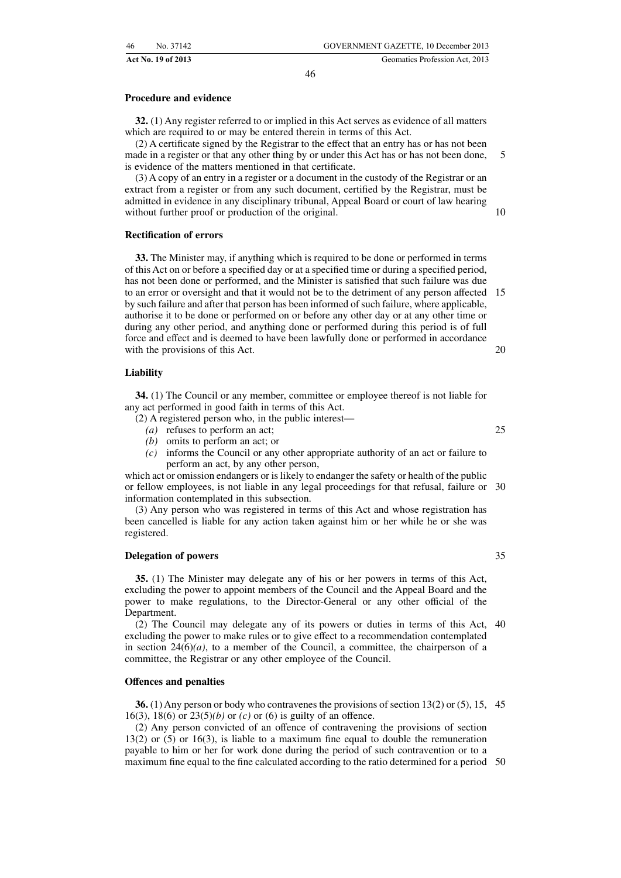#### **Procedure and evidence**

**32.** (1) Any register referred to or implied in this Act serves as evidence of all matters which are required to or may be entered therein in terms of this Act.

(2) A certificate signed by the Registrar to the effect that an entry has or has not been made in a register or that any other thing by or under this Act has or has not been done, is evidence of the matters mentioned in that certificate. 5

(3) A copy of an entry in a register or a document in the custody of the Registrar or an extract from a register or from any such document, certified by the Registrar, must be admitted in evidence in any disciplinary tribunal, Appeal Board or court of law hearing without further proof or production of the original.

#### **Rectification of errors**

**33.** The Minister may, if anything which is required to be done or performed in terms of this Act on or before a specified day or at a specified time or during a specified period, has not been done or performed, and the Minister is satisfied that such failure was due to an error or oversight and that it would not be to the detriment of any person affected 15 by such failure and after that person has been informed of such failure, where applicable, authorise it to be done or performed on or before any other day or at any other time or during any other period, and anything done or performed during this period is of full force and effect and is deemed to have been lawfully done or performed in accordance with the provisions of this Act. 20

#### **Liability**

**34.** (1) The Council or any member, committee or employee thereof is not liable for any act performed in good faith in terms of this Act.

- (2) A registered person who, in the public interest—
	- *(a)* refuses to perform an act;
	- *(b)* omits to perform an act; or
	- *(c)* informs the Council or any other appropriate authority of an act or failure to perform an act, by any other person,

which act or omission endangers or is likely to endanger the safety or health of the public or fellow employees, is not liable in any legal proceedings for that refusal, failure or 30 information contemplated in this subsection.

(3) Any person who was registered in terms of this Act and whose registration has been cancelled is liable for any action taken against him or her while he or she was registered.

#### **Delegation of powers**

**35.** (1) The Minister may delegate any of his or her powers in terms of this Act, excluding the power to appoint members of the Council and the Appeal Board and the power to make regulations, to the Director-General or any other official of the Department.

(2) The Council may delegate any of its powers or duties in terms of this Act, 40 excluding the power to make rules or to give effect to a recommendation contemplated in section  $24(6)(a)$ , to a member of the Council, a committee, the chairperson of a committee, the Registrar or any other employee of the Council.

#### **Offences and penalties**

**36.** (1) Any person or body who contravenes the provisions of section 13(2) or (5), 15, 45 16(3), 18(6) or 23(5)*(b)* or *(c)* or (6) is guilty of an offence.

(2) Any person convicted of an offence of contravening the provisions of section 13(2) or (5) or 16(3), is liable to a maximum fine equal to double the remuneration payable to him or her for work done during the period of such contravention or to a maximum fine equal to the fine calculated according to the ratio determined for a period 50

25

10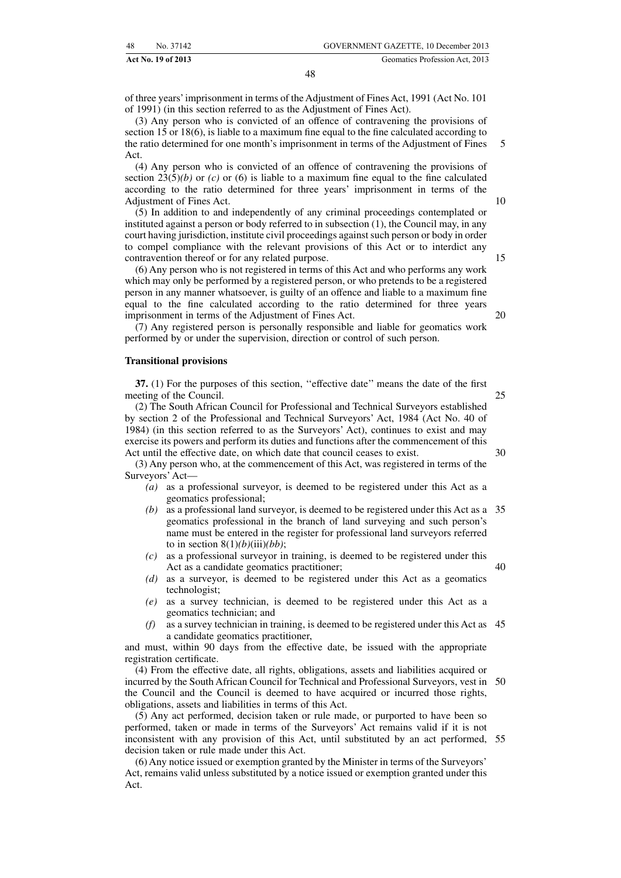**Act No. 19 of 2013** Geomatics Profession Act, 2013

of three years'imprisonment in terms of the Adjustment of Fines Act, 1991 (Act No. 101 of 1991) (in this section referred to as the Adjustment of Fines Act).

(3) Any person who is convicted of an offence of contravening the provisions of section 15 or 18(6), is liable to a maximum fine equal to the fine calculated according to the ratio determined for one month's imprisonment in terms of the Adjustment of Fines Act.

(4) Any person who is convicted of an offence of contravening the provisions of section  $23(5)(b)$  or *(c)* or *(6)* is liable to a maximum fine equal to the fine calculated according to the ratio determined for three years' imprisonment in terms of the Adjustment of Fines Act.

(5) In addition to and independently of any criminal proceedings contemplated or instituted against a person or body referred to in subsection (1), the Council may, in any court having jurisdiction, institute civil proceedings against such person or body in order to compel compliance with the relevant provisions of this Act or to interdict any contravention thereof or for any related purpose.

(6) Any person who is not registered in terms of this Act and who performs any work which may only be performed by a registered person, or who pretends to be a registered person in any manner whatsoever, is guilty of an offence and liable to a maximum fine equal to the fine calculated according to the ratio determined for three years imprisonment in terms of the Adjustment of Fines Act.

(7) Any registered person is personally responsible and liable for geomatics work performed by or under the supervision, direction or control of such person.

#### **Transitional provisions**

**37.** (1) For the purposes of this section, ''effective date'' means the date of the first meeting of the Council. 25

(2) The South African Council for Professional and Technical Surveyors established by section 2 of the Professional and Technical Surveyors' Act, 1984 (Act No. 40 of 1984) (in this section referred to as the Surveyors' Act), continues to exist and may exercise its powers and perform its duties and functions after the commencement of this Act until the effective date, on which date that council ceases to exist.

(3) Any person who, at the commencement of this Act, was registered in terms of the Surveyors' Act—

- *(a)* as a professional surveyor, is deemed to be registered under this Act as a geomatics professional;
- *(b)* as a professional land surveyor, is deemed to be registered under this Act as a 35 geomatics professional in the branch of land surveying and such person's name must be entered in the register for professional land surveyors referred to in section  $8(1)(b)(iii)(bb)$ ;
- *(c)* as a professional surveyor in training, is deemed to be registered under this Act as a candidate geomatics practitioner; 40
- *(d)* as a surveyor, is deemed to be registered under this Act as a geomatics technologist;
- *(e)* as a survey technician, is deemed to be registered under this Act as a geomatics technician; and
- *(f)* as a survey technician in training, is deemed to be registered under this Act as 45 a candidate geomatics practitioner,

and must, within 90 days from the effective date, be issued with the appropriate registration certificate.

(4) From the effective date, all rights, obligations, assets and liabilities acquired or incurred by the South African Council for Technical and Professional Surveyors, vest in 50 the Council and the Council is deemed to have acquired or incurred those rights, obligations, assets and liabilities in terms of this Act.

(5) Any act performed, decision taken or rule made, or purported to have been so performed, taken or made in terms of the Surveyors' Act remains valid if it is not inconsistent with any provision of this Act, until substituted by an act performed, 55decision taken or rule made under this Act.

(6) Any notice issued or exemption granted by the Minister in terms of the Surveyors' Act, remains valid unless substituted by a notice issued or exemption granted under this Act.

20

15

5

30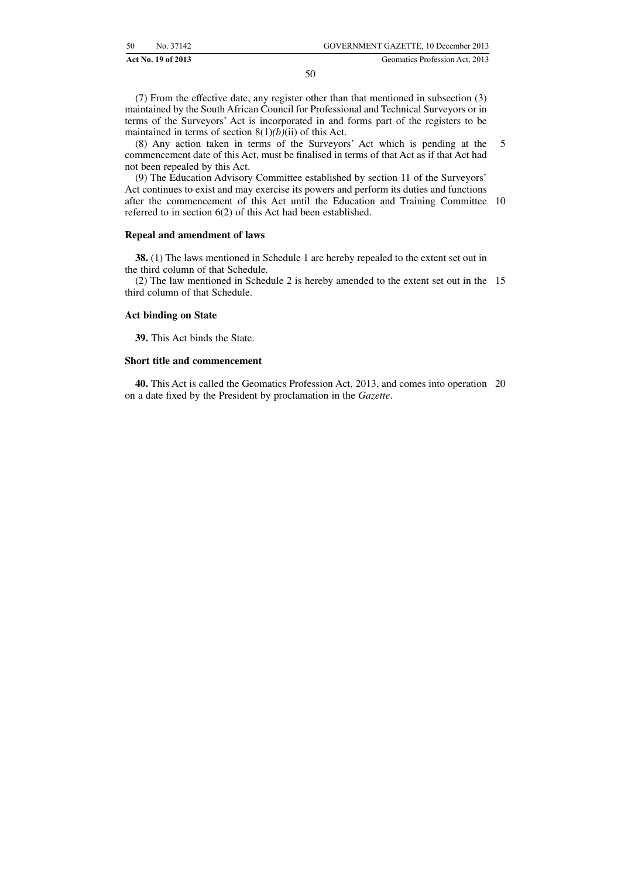(7) From the effective date, any register other than that mentioned in subsection (3) maintained by the South African Council for Professional and Technical Surveyors or in terms of the Surveyors' Act is incorporated in and forms part of the registers to be maintained in terms of section  $8(1)(b)(ii)$  of this Act.

(8) Any action taken in terms of the Surveyors' Act which is pending at the commencement date of this Act, must be finalised in terms of that Act as if that Act had not been repealed by this Act. 5

(9) The Education Advisory Committee established by section 11 of the Surveyors' Act continues to exist and may exercise its powers and perform its duties and functions after the commencement of this Act until the Education and Training Committee 10 referred to in section 6(2) of this Act had been established.

#### **Repeal and amendment of laws**

**38.** (1) The laws mentioned in Schedule 1 are hereby repealed to the extent set out in the third column of that Schedule.

(2) The law mentioned in Schedule 2 is hereby amended to the extent set out in the 15 third column of that Schedule.

#### **Act binding on State**

**39.** This Act binds the State.

#### **Short title and commencement**

**40.** This Act is called the Geomatics Profession Act, 2013, and comes into operation 20on a date fixed by the President by proclamation in the *Gazette*.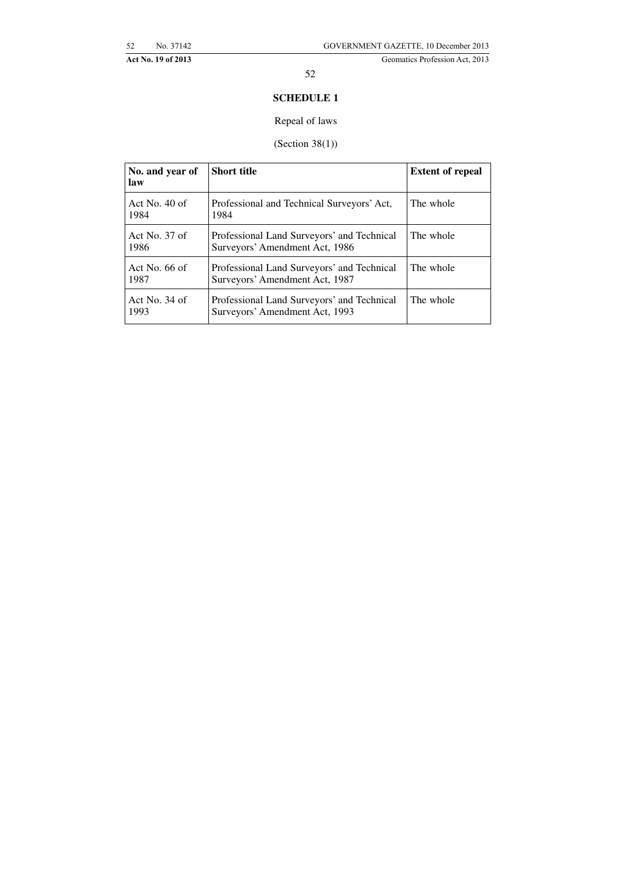# **SCHEDULE 1**

# Repeal of laws

# (Section 38(1))

| No. and year of<br>law  | <b>Short title</b>                                                           | <b>Extent of repeal</b> |
|-------------------------|------------------------------------------------------------------------------|-------------------------|
| Act No. $40$ of<br>1984 | Professional and Technical Surveyors' Act,<br>1984                           | The whole               |
| Act No. $37$ of<br>1986 | Professional Land Surveyors' and Technical<br>Surveyors' Amendment Act, 1986 | The whole               |
| Act No. $66$ of<br>1987 | Professional Land Surveyors' and Technical<br>Surveyors' Amendment Act, 1987 | The whole               |
| Act No. $34$ of<br>1993 | Professional Land Surveyors' and Technical<br>Surveyors' Amendment Act, 1993 | The whole               |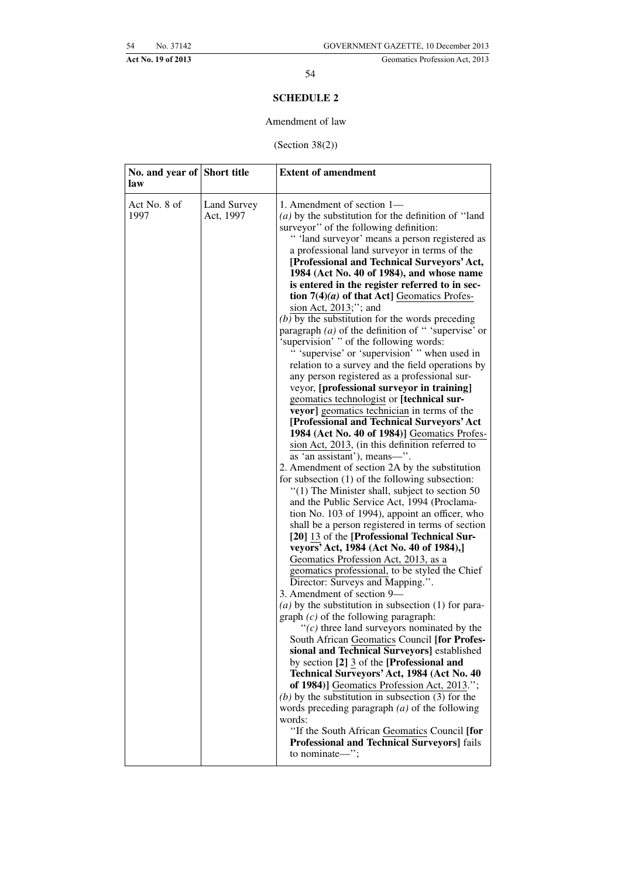### **SCHEDULE 2**

#### Amendment of law

(Section 38(2))

| No. and year of Short title<br>law |                          | <b>Extent of amendment</b>                                                                                                                                                                                                                                                                                                                                                                                                                                                                                                                                                                                                                                                                                                                                                                                                                                                                                                                                                                                                                                                                                                                                                                                                                                                                                                                                                                                                                                                                                                                                                                                                                                                                                                                                                                                                                                                                                                                                                                                                                                                                                                                                                                |
|------------------------------------|--------------------------|-------------------------------------------------------------------------------------------------------------------------------------------------------------------------------------------------------------------------------------------------------------------------------------------------------------------------------------------------------------------------------------------------------------------------------------------------------------------------------------------------------------------------------------------------------------------------------------------------------------------------------------------------------------------------------------------------------------------------------------------------------------------------------------------------------------------------------------------------------------------------------------------------------------------------------------------------------------------------------------------------------------------------------------------------------------------------------------------------------------------------------------------------------------------------------------------------------------------------------------------------------------------------------------------------------------------------------------------------------------------------------------------------------------------------------------------------------------------------------------------------------------------------------------------------------------------------------------------------------------------------------------------------------------------------------------------------------------------------------------------------------------------------------------------------------------------------------------------------------------------------------------------------------------------------------------------------------------------------------------------------------------------------------------------------------------------------------------------------------------------------------------------------------------------------------------------|
| Act No. 8 of<br>1997               | Land Survey<br>Act, 1997 | 1. Amendment of section 1—<br>( $a$ ) by the substitution for the definition of "land"<br>surveyor" of the following definition:<br>" 'land surveyor' means a person registered as<br>a professional land surveyor in terms of the<br>[Professional and Technical Surveyors' Act,<br>1984 (Act No. 40 of 1984), and whose name<br>is entered in the register referred to in sec-<br>tion $7(4)(a)$ of that Act] Geomatics Profes-<br>sion Act, 2013;"; and<br>$(b)$ by the substitution for the words preceding<br>paragraph $(a)$ of the definition of "supervise' or<br>'supervision' " of the following words:<br>" 'supervise' or 'supervision' " when used in<br>relation to a survey and the field operations by<br>any person registered as a professional sur-<br>veyor, [professional surveyor in training]<br>geomatics technologist or [technical sur-<br>veyor] geomatics technician in terms of the<br>[Professional and Technical Surveyors' Act<br>1984 (Act No. 40 of 1984)] Geomatics Profes-<br>sion Act, 2013, (in this definition referred to<br>as 'an assistant'), means-".<br>2. Amendment of section 2A by the substitution<br>for subsection $(1)$ of the following subsection:<br>"(1) The Minister shall, subject to section 50<br>and the Public Service Act, 1994 (Proclama-<br>tion No. 103 of 1994), appoint an officer, who<br>shall be a person registered in terms of section<br>[20] 13 of the [Professional Technical Sur-<br>veyors' Act, 1984 (Act No. 40 of 1984),]<br>Geomatics Profession Act, 2013, as a<br>geomatics professional, to be styled the Chief<br>Director: Surveys and Mapping.".<br>3. Amendment of section 9-<br>(a) by the substitution in subsection $(1)$ for para-<br>graph $(c)$ of the following paragraph:<br>" $(c)$ three land surveyors nominated by the<br>South African Geomatics Council [for Profes-<br>sional and Technical Surveyors] established<br>by section [2] 3 of the [Professional and<br>Technical Surveyors' Act, 1984 (Act No. 40<br>of 1984)] Geomatics Profession Act, 2013.";<br>(b) by the substitution in subsection $(3)$ for the<br>words preceding paragraph $(a)$ of the following<br>words: |
|                                    |                          | "If the South African Geomatics Council [for<br>Professional and Technical Surveyors] fails<br>to nominate-";                                                                                                                                                                                                                                                                                                                                                                                                                                                                                                                                                                                                                                                                                                                                                                                                                                                                                                                                                                                                                                                                                                                                                                                                                                                                                                                                                                                                                                                                                                                                                                                                                                                                                                                                                                                                                                                                                                                                                                                                                                                                             |